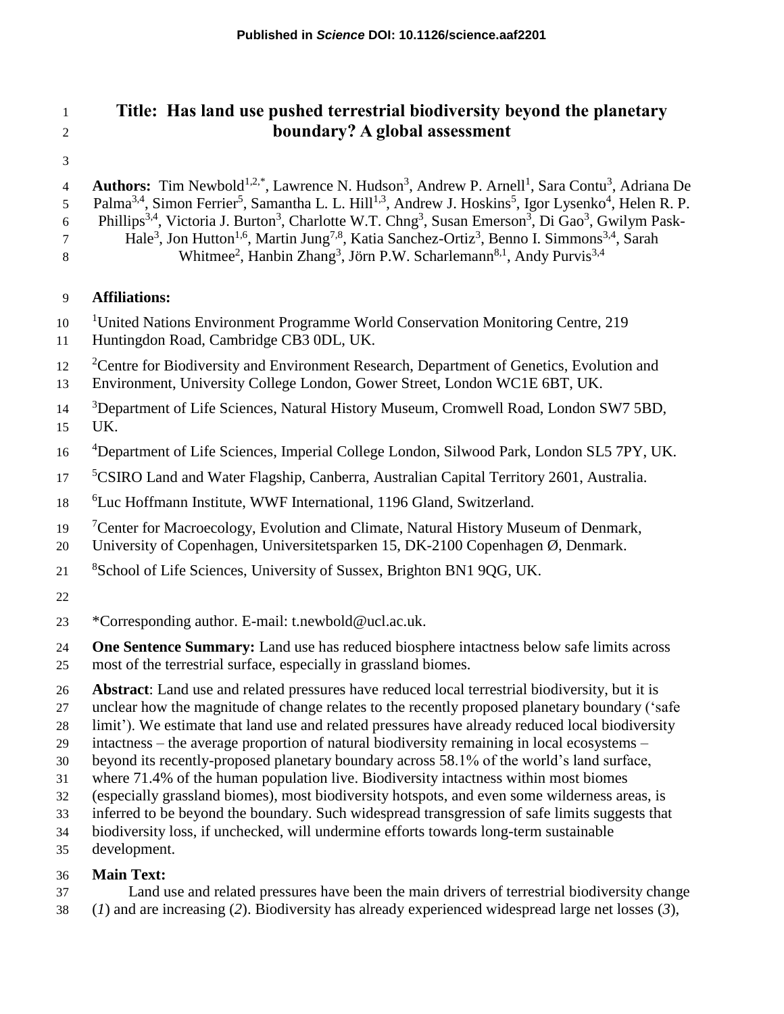# **Title: Has land use pushed terrestrial biodiversity beyond the planetary boundary? A global assessment**

4 **Authors:** Tim Newbold<sup>1,2,\*</sup>, Lawrence N. Hudson<sup>3</sup>, Andrew P. Arnell<sup>1</sup>, Sara Contu<sup>3</sup>, Adriana De 5 Palma<sup>3,4</sup>, Simon Ferrier<sup>5</sup>, Samantha L. L. Hill<sup>1,3</sup>, Andrew J. Hoskins<sup>5</sup>, Igor Lysenko<sup>4</sup>, Helen R. P. 6 Phillips<sup>3,4</sup>, Victoria J. Burton<sup>3</sup>, Charlotte W.T. Chng<sup>3</sup>, Susan Emerson<sup>3</sup>, Di Gao<sup>3</sup>, Gwilym Pask-Hale<sup>3</sup> , Jon Hutton1,6, Martin Jung7,8 , Katia Sanchez-Ortiz<sup>3</sup> , Benno I. Simmons3,4 , Sarah 8 Whitmee<sup>2</sup>, Hanbin Zhang<sup>3</sup>, Jörn P.W. Scharlemann<sup>8,1</sup>, Andy Purvis<sup>3,4</sup>

### **Affiliations:**

- <sup>1</sup>United Nations Environment Programme World Conservation Monitoring Centre, 219
- Huntingdon Road, Cambridge CB3 0DL, UK.
- <sup>2</sup> Centre for Biodiversity and Environment Research, Department of Genetics, Evolution and
- Environment, University College London, Gower Street, London WC1E 6BT, UK.
- <sup>3</sup>Department of Life Sciences, Natural History Museum, Cromwell Road, London SW7 5BD, UK.
- <sup>4</sup>Department of Life Sciences, Imperial College London, Silwood Park, London SL5 7PY, UK.
- <sup>5</sup>CSIRO Land and Water Flagship, Canberra, Australian Capital Territory 2601, Australia.
- 18 <sup>6</sup>Luc Hoffmann Institute, WWF International, 1196 Gland, Switzerland.
- <sup>7</sup> Center for Macroecology, Evolution and Climate, Natural History Museum of Denmark,
- University of Copenhagen, Universitetsparken 15, DK-2100 Copenhagen Ø, Denmark.
- <sup>8</sup>School of Life Sciences, University of Sussex, Brighton BN1 9QG, UK.
- 
- \*Corresponding author. E-mail: t.newbold@ucl.ac.uk.
- **One Sentence Summary:** Land use has reduced biosphere intactness below safe limits across most of the terrestrial surface, especially in grassland biomes.
- **Abstract**: Land use and related pressures have reduced local terrestrial biodiversity, but it is
- unclear how the magnitude of change relates to the recently proposed planetary boundary ('safe
- limit'). We estimate that land use and related pressures have already reduced local biodiversity
- intactness the average proportion of natural biodiversity remaining in local ecosystems –
- beyond its recently-proposed planetary boundary across 58.1% of the world's land surface,
- where 71.4% of the human population live. Biodiversity intactness within most biomes
- (especially grassland biomes), most biodiversity hotspots, and even some wilderness areas, is
- inferred to be beyond the boundary. Such widespread transgression of safe limits suggests that
- biodiversity loss, if unchecked, will undermine efforts towards long-term sustainable
- development.

### **Main Text:**

- Land use and related pressures have been the main drivers of terrestrial biodiversity change
- (*1*) and are increasing (*2*). Biodiversity has already experienced widespread large net losses (*3*),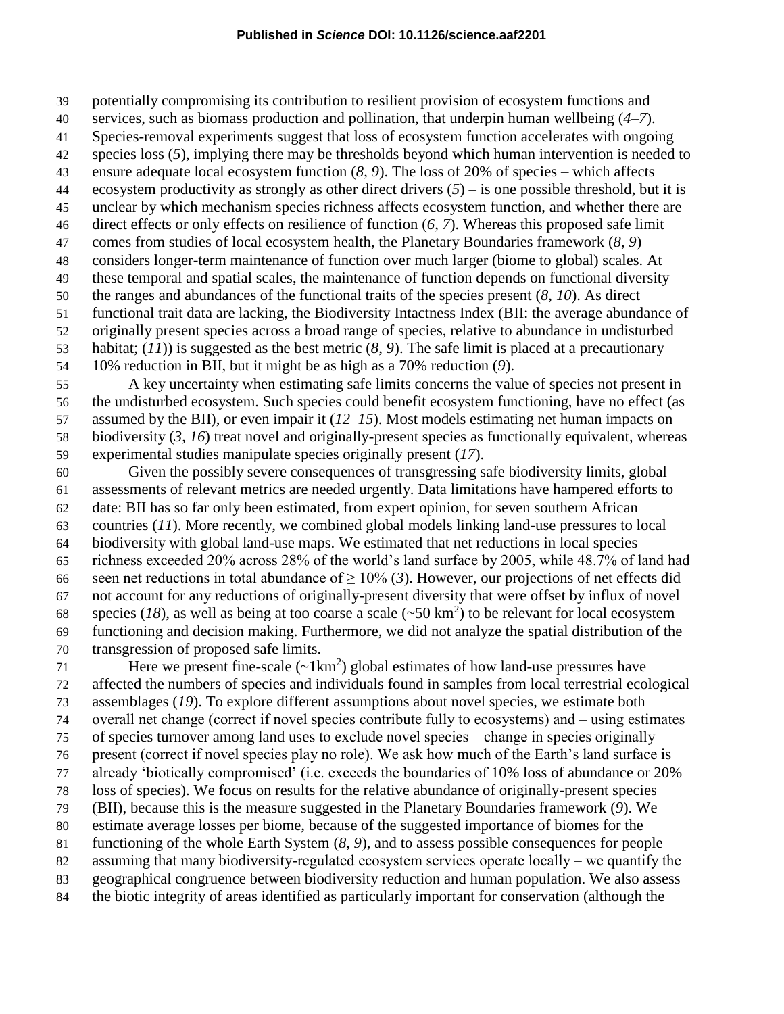potentially compromising its contribution to resilient provision of ecosystem functions and

- services, such as biomass production and pollination, that underpin human wellbeing (*4*–*7*).
- Species-removal experiments suggest that loss of ecosystem function accelerates with ongoing
- species loss (*5*), implying there may be thresholds beyond which human intervention is needed to ensure adequate local ecosystem function (*8*, *9*). The loss of 20% of species – which affects
- 44 ecosystem productivity as strongly as other direct drivers  $(5)$  is one possible threshold, but it is
- unclear by which mechanism species richness affects ecosystem function, and whether there are
- direct effects or only effects on resilience of function (*6*, *7*). Whereas this proposed safe limit
- comes from studies of local ecosystem health, the Planetary Boundaries framework (*8*, *9*)
- considers longer-term maintenance of function over much larger (biome to global) scales. At
- these temporal and spatial scales, the maintenance of function depends on functional diversity –
- the ranges and abundances of the functional traits of the species present (*8*, *10*). As direct
- functional trait data are lacking, the Biodiversity Intactness Index (BII: the average abundance of
- originally present species across a broad range of species, relative to abundance in undisturbed
- habitat; (*11*)) is suggested as the best metric (*8*, *9*). The safe limit is placed at a precautionary 10% reduction in BII, but it might be as high as a 70% reduction (*9*).
- A key uncertainty when estimating safe limits concerns the value of species not present in the undisturbed ecosystem. Such species could benefit ecosystem functioning, have no effect (as assumed by the BII), or even impair it (*12*–*15*). Most models estimating net human impacts on biodiversity (*3*, *16*) treat novel and originally-present species as functionally equivalent, whereas experimental studies manipulate species originally present (*17*).
- Given the possibly severe consequences of transgressing safe biodiversity limits, global assessments of relevant metrics are needed urgently. Data limitations have hampered efforts to date: BII has so far only been estimated, from expert opinion, for seven southern African countries (*11*). More recently, we combined global models linking land-use pressures to local biodiversity with global land-use maps. We estimated that net reductions in local species richness exceeded 20% across 28% of the world's land surface by 2005, while 48.7% of land had seen net reductions in total abundance of ≥ 10% (*3*). However, our projections of net effects did not account for any reductions of originally-present diversity that were offset by influx of novel species (18), as well as being at too coarse a scale  $({\sim}50 \text{ km}^2)$  to be relevant for local ecosystem functioning and decision making. Furthermore, we did not analyze the spatial distribution of the transgression of proposed safe limits.
- 71 Here we present fine-scale  $(\sim 1 \text{km}^2)$  global estimates of how land-use pressures have affected the numbers of species and individuals found in samples from local terrestrial ecological assemblages (*19*). To explore different assumptions about novel species, we estimate both overall net change (correct if novel species contribute fully to ecosystems) and ‒ using estimates of species turnover among land uses to exclude novel species ‒ change in species originally present (correct if novel species play no role). We ask how much of the Earth's land surface is already 'biotically compromised' (i.e. exceeds the boundaries of 10% loss of abundance or 20% loss of species). We focus on results for the relative abundance of originally-present species (BII), because this is the measure suggested in the Planetary Boundaries framework (*9*). We estimate average losses per biome, because of the suggested importance of biomes for the functioning of the whole Earth System (*8*, *9*), and to assess possible consequences for people – 82 assuming that many biodiversity-regulated ecosystem services operate locally – we quantify the geographical congruence between biodiversity reduction and human population. We also assess
- the biotic integrity of areas identified as particularly important for conservation (although the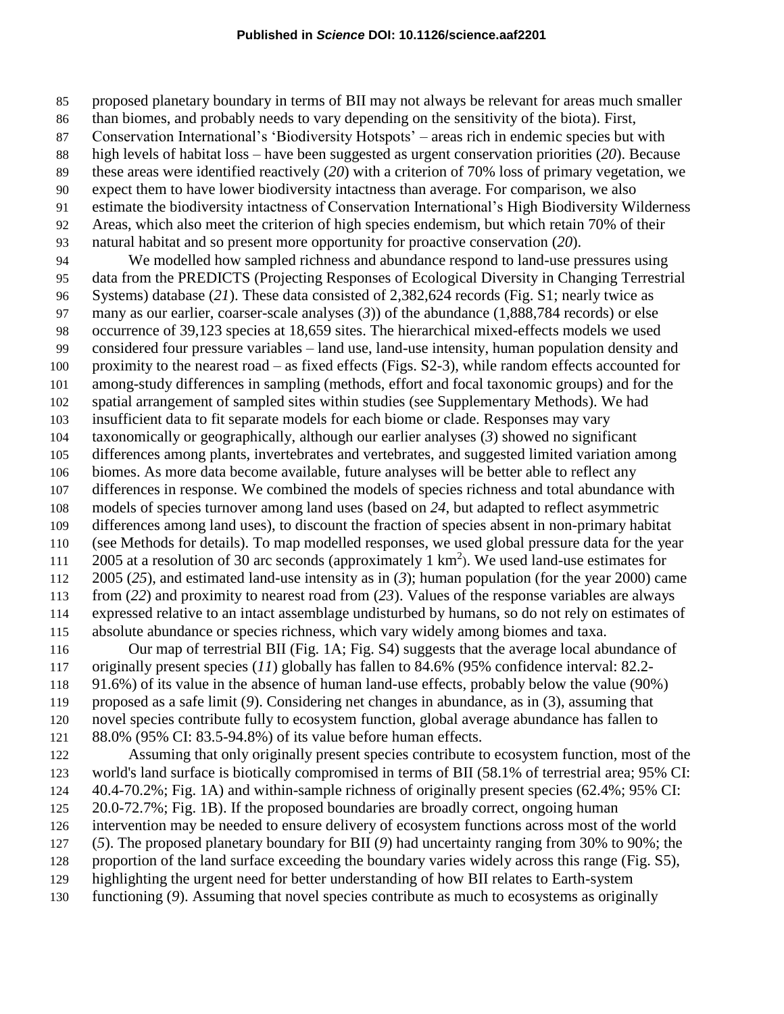proposed planetary boundary in terms of BII may not always be relevant for areas much smaller

- than biomes, and probably needs to vary depending on the sensitivity of the biota). First,
- Conservation International's 'Biodiversity Hotspots' areas rich in endemic species but with
- high levels of habitat loss have been suggested as urgent conservation priorities (*20*). Because
- these areas were identified reactively (*20*) with a criterion of 70% loss of primary vegetation, we
- expect them to have lower biodiversity intactness than average. For comparison, we also
- estimate the biodiversity intactness of Conservation International's High Biodiversity Wilderness
- Areas, which also meet the criterion of high species endemism, but which retain 70% of their
- natural habitat and so present more opportunity for proactive conservation (*20*). We modelled how sampled richness and abundance respond to land-use pressures using

 data from the PREDICTS (Projecting Responses of Ecological Diversity in Changing Terrestrial Systems) database (*21*). These data consisted of 2,382,624 records (Fig. S1; nearly twice as many as our earlier, coarser-scale analyses (*3*)) of the abundance (1,888,784 records) or else occurrence of 39,123 species at 18,659 sites. The hierarchical mixed-effects models we used considered four pressure variables – land use, land-use intensity, human population density and proximity to the nearest road – as fixed effects (Figs. S2-3), while random effects accounted for among-study differences in sampling (methods, effort and focal taxonomic groups) and for the spatial arrangement of sampled sites within studies (see Supplementary Methods). We had insufficient data to fit separate models for each biome or clade. Responses may vary taxonomically or geographically, although our earlier analyses (*3*) showed no significant differences among plants, invertebrates and vertebrates, and suggested limited variation among biomes. As more data become available, future analyses will be better able to reflect any differences in response. We combined the models of species richness and total abundance with models of species turnover among land uses (based on *24*, but adapted to reflect asymmetric differences among land uses), to discount the fraction of species absent in non-primary habitat (see Methods for details). To map modelled responses, we used global pressure data for the year 111 2005 at a resolution of 30 arc seconds (approximately 1  $\text{km}^2$ ). We used land-use estimates for 2005 (*25*), and estimated land-use intensity as in (*3*); human population (for the year 2000) came from (*22*) and proximity to nearest road from (*23*). Values of the response variables are always expressed relative to an intact assemblage undisturbed by humans, so do not rely on estimates of absolute abundance or species richness, which vary widely among biomes and taxa.

 Our map of terrestrial BII (Fig. 1A; Fig. S4) suggests that the average local abundance of originally present species (*11*) globally has fallen to 84.6% (95% confidence interval: 82.2- 91.6%) of its value in the absence of human land-use effects, probably below the value (90%) proposed as a safe limit (*9*). Considering net changes in abundance, as in (3), assuming that novel species contribute fully to ecosystem function, global average abundance has fallen to 88.0% (95% CI: 83.5-94.8%) of its value before human effects.

 Assuming that only originally present species contribute to ecosystem function, most of the world's land surface is biotically compromised in terms of BII (58.1% of terrestrial area; 95% CI: 40.4-70.2%; Fig. 1A) and within-sample richness of originally present species (62.4%; 95% CI: 20.0-72.7%; Fig. 1B). If the proposed boundaries are broadly correct, ongoing human intervention may be needed to ensure delivery of ecosystem functions across most of the world (*5*). The proposed planetary boundary for BII (*9*) had uncertainty ranging from 30% to 90%; the proportion of the land surface exceeding the boundary varies widely across this range (Fig. S5), highlighting the urgent need for better understanding of how BII relates to Earth-system functioning (*9*). Assuming that novel species contribute as much to ecosystems as originally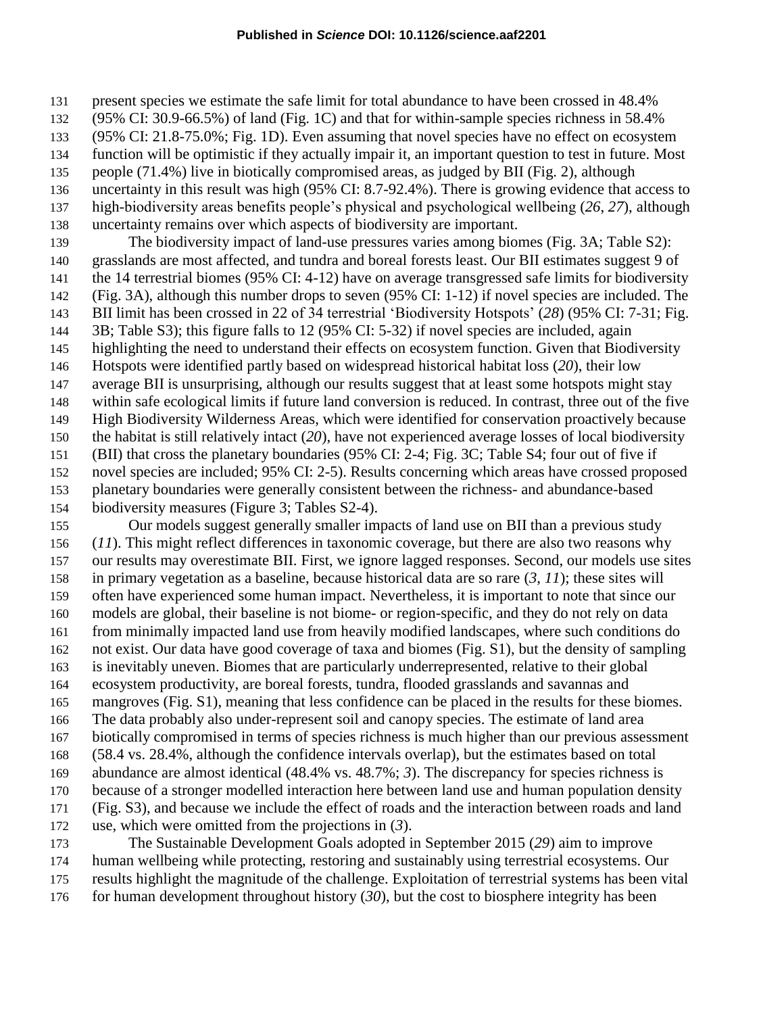present species we estimate the safe limit for total abundance to have been crossed in 48.4%

(95% CI: 30.9-66.5%) of land (Fig. 1C) and that for within-sample species richness in 58.4%

(95% CI: 21.8-75.0%; Fig. 1D). Even assuming that novel species have no effect on ecosystem

function will be optimistic if they actually impair it, an important question to test in future. Most

people (71.4%) live in biotically compromised areas, as judged by BII (Fig. 2), although

 uncertainty in this result was high (95% CI: 8.7-92.4%). There is growing evidence that access to high-biodiversity areas benefits people's physical and psychological wellbeing (*26*, *27*), although

uncertainty remains over which aspects of biodiversity are important.

 The biodiversity impact of land-use pressures varies among biomes (Fig. 3A; Table S2): grasslands are most affected, and tundra and boreal forests least. Our BII estimates suggest 9 of the 14 terrestrial biomes (95% CI: 4-12) have on average transgressed safe limits for biodiversity (Fig. 3A), although this number drops to seven (95% CI: 1-12) if novel species are included. The BII limit has been crossed in 22 of 34 terrestrial 'Biodiversity Hotspots' (*28*) (95% CI: 7-31; Fig. 3B; Table S3); this figure falls to 12 (95% CI: 5-32) if novel species are included, again highlighting the need to understand their effects on ecosystem function. Given that Biodiversity Hotspots were identified partly based on widespread historical habitat loss (*20*), their low average BII is unsurprising, although our results suggest that at least some hotspots might stay within safe ecological limits if future land conversion is reduced. In contrast, three out of the five High Biodiversity Wilderness Areas, which were identified for conservation proactively because the habitat is still relatively intact (*20*), have not experienced average losses of local biodiversity (BII) that cross the planetary boundaries (95% CI: 2-4; Fig. 3C; Table S4; four out of five if novel species are included; 95% CI: 2-5). Results concerning which areas have crossed proposed planetary boundaries were generally consistent between the richness- and abundance-based biodiversity measures (Figure 3; Tables S2-4).

 Our models suggest generally smaller impacts of land use on BII than a previous study (*11*). This might reflect differences in taxonomic coverage, but there are also two reasons why our results may overestimate BII. First, we ignore lagged responses. Second, our models use sites in primary vegetation as a baseline, because historical data are so rare (*3*, *11*); these sites will often have experienced some human impact. Nevertheless, it is important to note that since our models are global, their baseline is not biome- or region-specific, and they do not rely on data from minimally impacted land use from heavily modified landscapes, where such conditions do not exist. Our data have good coverage of taxa and biomes (Fig. S1), but the density of sampling is inevitably uneven. Biomes that are particularly underrepresented, relative to their global ecosystem productivity, are boreal forests, tundra, flooded grasslands and savannas and mangroves (Fig. S1), meaning that less confidence can be placed in the results for these biomes. The data probably also under-represent soil and canopy species. The estimate of land area biotically compromised in terms of species richness is much higher than our previous assessment (58.4 vs. 28.4%, although the confidence intervals overlap), but the estimates based on total abundance are almost identical (48.4% vs. 48.7%; *3*). The discrepancy for species richness is because of a stronger modelled interaction here between land use and human population density (Fig. S3), and because we include the effect of roads and the interaction between roads and land use, which were omitted from the projections in (*3*). The Sustainable Development Goals adopted in September 2015 (*29*) aim to improve

 human wellbeing while protecting, restoring and sustainably using terrestrial ecosystems. Our results highlight the magnitude of the challenge. Exploitation of terrestrial systems has been vital

for human development throughout history (*30*), but the cost to biosphere integrity has been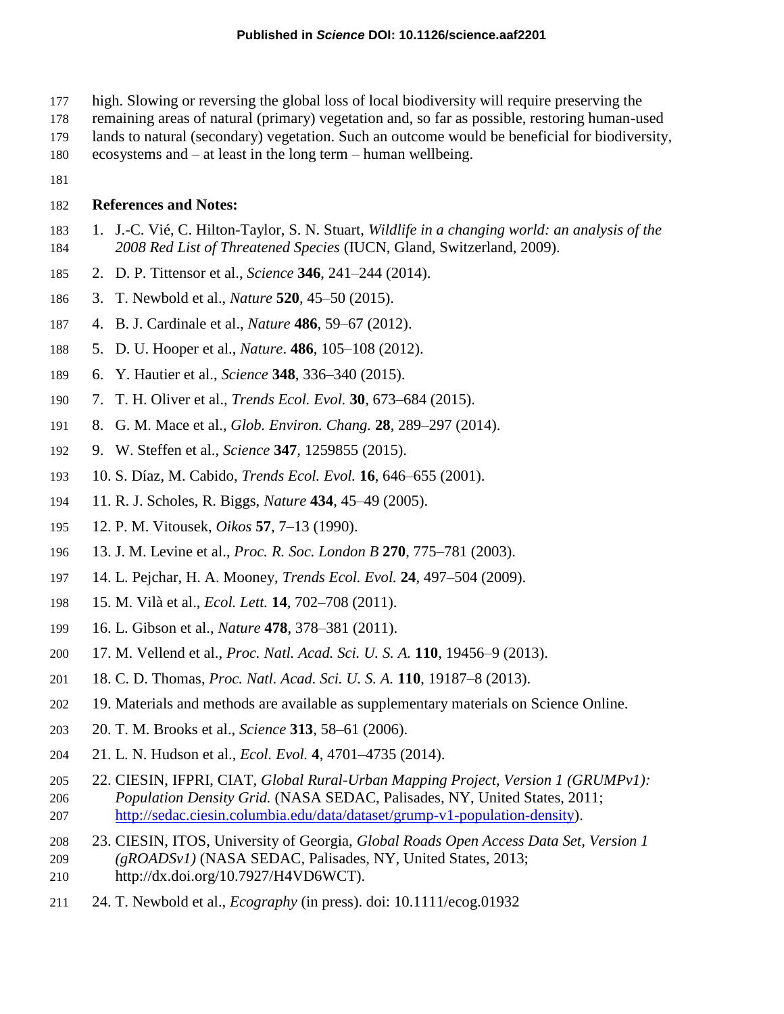- high. Slowing or reversing the global loss of local biodiversity will require preserving the
- remaining areas of natural (primary) vegetation and, so far as possible, restoring human-used
- lands to natural (secondary) vegetation. Such an outcome would be beneficial for biodiversity,
- ecosystems and at least in the long term human wellbeing.
- 

#### **References and Notes:**

- 1. J.-C. Vié, C. Hilton-Taylor, S. N. Stuart, *Wildlife in a changing world: an analysis of the 2008 Red List of Threatened Species* (IUCN, Gland, Switzerland, 2009).
- 2. D. P. Tittensor et al., *Science* **346**, 241–244 (2014).
- 3. T. Newbold et al., *Nature* **520**, 45–50 (2015).
- 4. B. J. Cardinale et al., *Nature* **486**, 59–67 (2012).
- 5. D. U. Hooper et al., *Nature*. **486**, 105–108 (2012).
- 6. Y. Hautier et al., *Science* **348**, 336–340 (2015).
- 7. T. H. Oliver et al., *Trends Ecol. Evol.* **30**, 673–684 (2015).
- 8. G. M. Mace et al., *Glob. Environ. Chang.* **28**, 289–297 (2014).
- 9. W. Steffen et al., *Science* **347**, 1259855 (2015).
- 10. S. Díaz, M. Cabido, *Trends Ecol. Evol.* **16**, 646–655 (2001).
- 11. R. J. Scholes, R. Biggs, *Nature* **434**, 45–49 (2005).
- 12. P. M. Vitousek, *Oikos* **57**, 7–13 (1990).
- 13. J. M. Levine et al., *Proc. R. Soc. London B* **270**, 775–781 (2003).
- 14. L. Pejchar, H. A. Mooney, *Trends Ecol. Evol.* **24**, 497–504 (2009).
- 15. M. Vilà et al., *Ecol. Lett.* **14**, 702–708 (2011).
- 16. L. Gibson et al., *Nature* **478**, 378–381 (2011).
- 17. M. Vellend et al., *Proc. Natl. Acad. Sci. U. S. A.* **110**, 19456–9 (2013).
- 18. C. D. Thomas, *Proc. Natl. Acad. Sci. U. S. A.* **110**, 19187–8 (2013).
- 19. Materials and methods are available as supplementary materials on Science Online.
- 20. T. M. Brooks et al., *Science* **313**, 58–61 (2006).
- 21. L. N. Hudson et al., *Ecol. Evol.* **4**, 4701–4735 (2014).
- 22. CIESIN, IFPRI, CIAT, *Global Rural-Urban Mapping Project, Version 1 (GRUMPv1): Population Density Grid.* (NASA SEDAC, Palisades, NY, United States, 2011; [http://sedac.ciesin.columbia.edu/data/dataset/grump-v1-population-density\)](http://sedac.ciesin.columbia.edu/data/dataset/grump-v1-population-density).
- 23. CIESIN, ITOS, University of Georgia*, Global Roads Open Access Data Set, Version 1*
- *(gROADSv1)* (NASA SEDAC, Palisades, NY, United States, 2013; http://dx.doi.org/10.7927/H4VD6WCT).
- 24. T. Newbold et al., *Ecography* (in press). doi: 10.1111/ecog.01932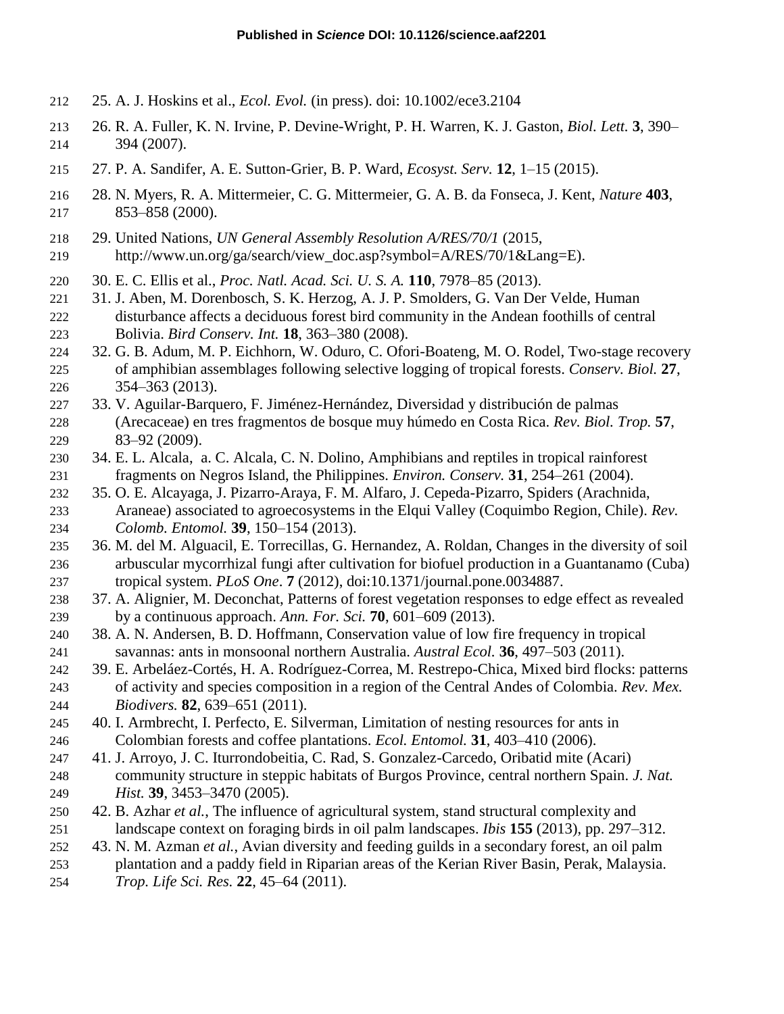- 25. A. J. Hoskins et al., *Ecol. Evol.* (in press). doi: 10.1002/ece3.2104
- 26. R. A. Fuller, K. N. Irvine, P. Devine-Wright, P. H. Warren, K. J. Gaston, *Biol. Lett.* **3**, 390– 394 (2007).
- 27. P. A. Sandifer, A. E. Sutton-Grier, B. P. Ward, *Ecosyst. Serv.* **12**, 1–15 (2015).
- 28. N. Myers, R. A. Mittermeier, C. G. Mittermeier, G. A. B. da Fonseca, J. Kent, *Nature* **403**, 853–858 (2000).
- 29. United Nations, *UN General Assembly Resolution A/RES/70/1* (2015,
- 219 http://www.un.org/ga/search/view\_doc.asp?symbol=A/RES/70/1&Lang=E).
- 30. E. C. Ellis et al., *Proc. Natl. Acad. Sci. U. S. A.* **110**, 7978–85 (2013).
- 31. J. Aben, M. Dorenbosch, S. K. Herzog, A. J. P. Smolders, G. Van Der Velde, Human disturbance affects a deciduous forest bird community in the Andean foothills of central Bolivia. *Bird Conserv. Int.* **18**, 363–380 (2008).
- 32. G. B. Adum, M. P. Eichhorn, W. Oduro, C. Ofori-Boateng, M. O. Rodel, Two-stage recovery of amphibian assemblages following selective logging of tropical forests. *Conserv. Biol.* **27**, 354–363 (2013).
- 33. V. Aguilar-Barquero, F. Jiménez-Hernández, Diversidad y distribución de palmas (Arecaceae) en tres fragmentos de bosque muy húmedo en Costa Rica. *Rev. Biol. Trop.* **57**, 83–92 (2009).
- 34. E. L. Alcala, a. C. Alcala, C. N. Dolino, Amphibians and reptiles in tropical rainforest fragments on Negros Island, the Philippines. *Environ. Conserv.* **31**, 254–261 (2004).
- 35. O. E. Alcayaga, J. Pizarro-Araya, F. M. Alfaro, J. Cepeda-Pizarro, Spiders (Arachnida, Araneae) associated to agroecosystems in the Elqui Valley (Coquimbo Region, Chile). *Rev. Colomb. Entomol.* **39**, 150–154 (2013).
- 36. M. del M. Alguacil, E. Torrecillas, G. Hernandez, A. Roldan, Changes in the diversity of soil arbuscular mycorrhizal fungi after cultivation for biofuel production in a Guantanamo (Cuba) tropical system. *PLoS One*. **7** (2012), doi:10.1371/journal.pone.0034887.
- 37. A. Alignier, M. Deconchat, Patterns of forest vegetation responses to edge effect as revealed by a continuous approach. *Ann. For. Sci.* **70**, 601–609 (2013).
- 38. A. N. Andersen, B. D. Hoffmann, Conservation value of low fire frequency in tropical savannas: ants in monsoonal northern Australia. *Austral Ecol.* **36**, 497–503 (2011).
- 39. E. Arbeláez-Cortés, H. A. Rodríguez-Correa, M. Restrepo-Chica, Mixed bird flocks: patterns of activity and species composition in a region of the Central Andes of Colombia. *Rev. Mex. Biodivers.* **82**, 639–651 (2011).
- 40. I. Armbrecht, I. Perfecto, E. Silverman, Limitation of nesting resources for ants in Colombian forests and coffee plantations. *Ecol. Entomol.* **31**, 403–410 (2006).
- 41. J. Arroyo, J. C. Iturrondobeitia, C. Rad, S. Gonzalez-Carcedo, Oribatid mite (Acari) community structure in steppic habitats of Burgos Province, central northern Spain. *J. Nat. Hist.* **39**, 3453–3470 (2005).
- 42. B. Azhar *et al.*, The influence of agricultural system, stand structural complexity and landscape context on foraging birds in oil palm landscapes. *Ibis* **155** (2013), pp. 297–312.
- 43. N. M. Azman *et al.*, Avian diversity and feeding guilds in a secondary forest, an oil palm plantation and a paddy field in Riparian areas of the Kerian River Basin, Perak, Malaysia. *Trop. Life Sci. Res.* **22**, 45–64 (2011).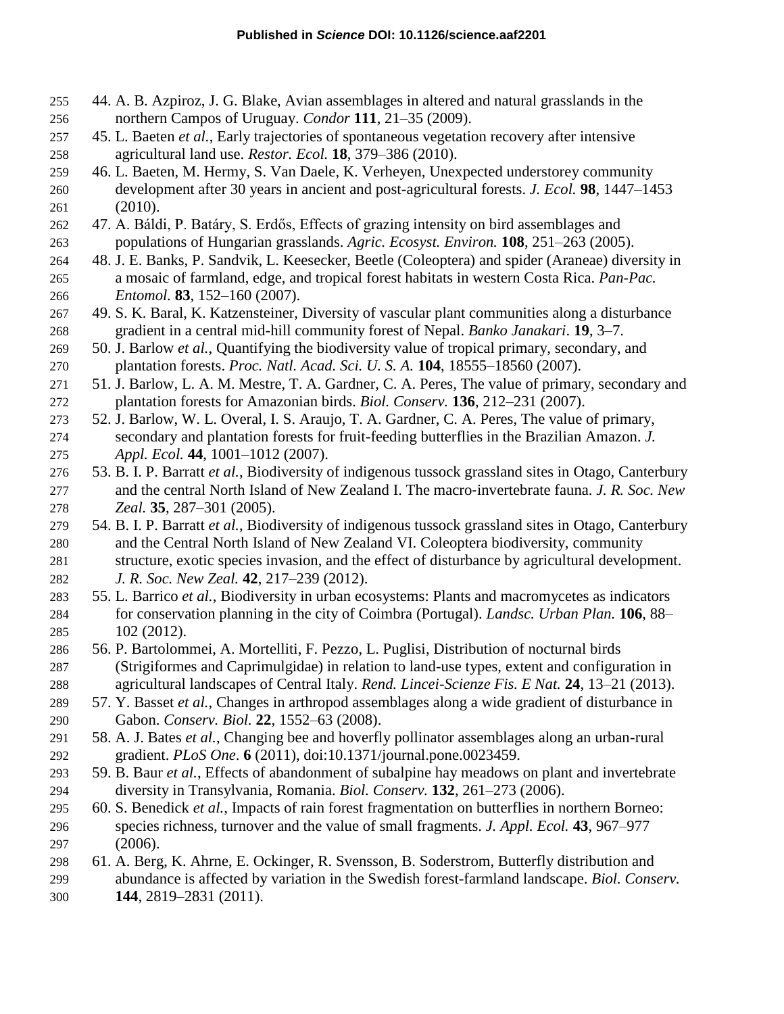- 44. A. B. Azpiroz, J. G. Blake, Avian assemblages in altered and natural grasslands in the northern Campos of Uruguay. *Condor* **111**, 21–35 (2009).
- 45. L. Baeten *et al.*, Early trajectories of spontaneous vegetation recovery after intensive agricultural land use. *Restor. Ecol.* **18**, 379–386 (2010).
- 46. L. Baeten, M. Hermy, S. Van Daele, K. Verheyen, Unexpected understorey community development after 30 years in ancient and post-agricultural forests. *J. Ecol.* **98**, 1447–1453 (2010).
- 47. A. Báldi, P. Batáry, S. Erdős, Effects of grazing intensity on bird assemblages and populations of Hungarian grasslands. *Agric. Ecosyst. Environ.* **108**, 251–263 (2005).
- 48. J. E. Banks, P. Sandvik, L. Keesecker, Beetle (Coleoptera) and spider (Araneae) diversity in a mosaic of farmland, edge, and tropical forest habitats in western Costa Rica. *Pan-Pac. Entomol.* **83**, 152–160 (2007).
- 49. S. K. Baral, K. Katzensteiner, Diversity of vascular plant communities along a disturbance gradient in a central mid-hill community forest of Nepal. *Banko Janakari*. **19**, 3–7.
- 50. J. Barlow *et al.*, Quantifying the biodiversity value of tropical primary, secondary, and plantation forests. *Proc. Natl. Acad. Sci. U. S. A.* **104**, 18555–18560 (2007).
- 51. J. Barlow, L. A. M. Mestre, T. A. Gardner, C. A. Peres, The value of primary, secondary and plantation forests for Amazonian birds. *Biol. Conserv.* **136**, 212–231 (2007).
- 52. J. Barlow, W. L. Overal, I. S. Araujo, T. A. Gardner, C. A. Peres, The value of primary, secondary and plantation forests for fruit-feeding butterflies in the Brazilian Amazon. *J. Appl. Ecol.* **44**, 1001–1012 (2007).
- 53. B. I. P. Barratt *et al.*, Biodiversity of indigenous tussock grassland sites in Otago, Canterbury and the central North Island of New Zealand I. The macro‐invertebrate fauna. *J. R. Soc. New Zeal.* **35**, 287–301 (2005).
- 54. B. I. P. Barratt *et al.*, Biodiversity of indigenous tussock grassland sites in Otago, Canterbury and the Central North Island of New Zealand VI. Coleoptera biodiversity, community structure, exotic species invasion, and the effect of disturbance by agricultural development. *J. R. Soc. New Zeal.* **42**, 217–239 (2012).
- 55. L. Barrico *et al.*, Biodiversity in urban ecosystems: Plants and macromycetes as indicators for conservation planning in the city of Coimbra (Portugal). *Landsc. Urban Plan.* **106**, 88– 102 (2012).
- 56. P. Bartolommei, A. Mortelliti, F. Pezzo, L. Puglisi, Distribution of nocturnal birds (Strigiformes and Caprimulgidae) in relation to land-use types, extent and configuration in agricultural landscapes of Central Italy. *Rend. Lincei-Scienze Fis. E Nat.* **24**, 13–21 (2013).
- 57. Y. Basset *et al.*, Changes in arthropod assemblages along a wide gradient of disturbance in Gabon. *Conserv. Biol.* **22**, 1552–63 (2008).
- 58. A. J. Bates *et al.*, Changing bee and hoverfly pollinator assemblages along an urban-rural gradient. *PLoS One*. **6** (2011), doi:10.1371/journal.pone.0023459.
- 59. B. Baur *et al.*, Effects of abandonment of subalpine hay meadows on plant and invertebrate diversity in Transylvania, Romania. *Biol. Conserv.* **132**, 261–273 (2006).
- 60. S. Benedick *et al.*, Impacts of rain forest fragmentation on butterflies in northern Borneo: species richness, turnover and the value of small fragments. *J. Appl. Ecol.* **43**, 967–977 (2006).
- 61. A. Berg, K. Ahrne, E. Ockinger, R. Svensson, B. Soderstrom, Butterfly distribution and abundance is affected by variation in the Swedish forest-farmland landscape. *Biol. Conserv.* **144**, 2819–2831 (2011).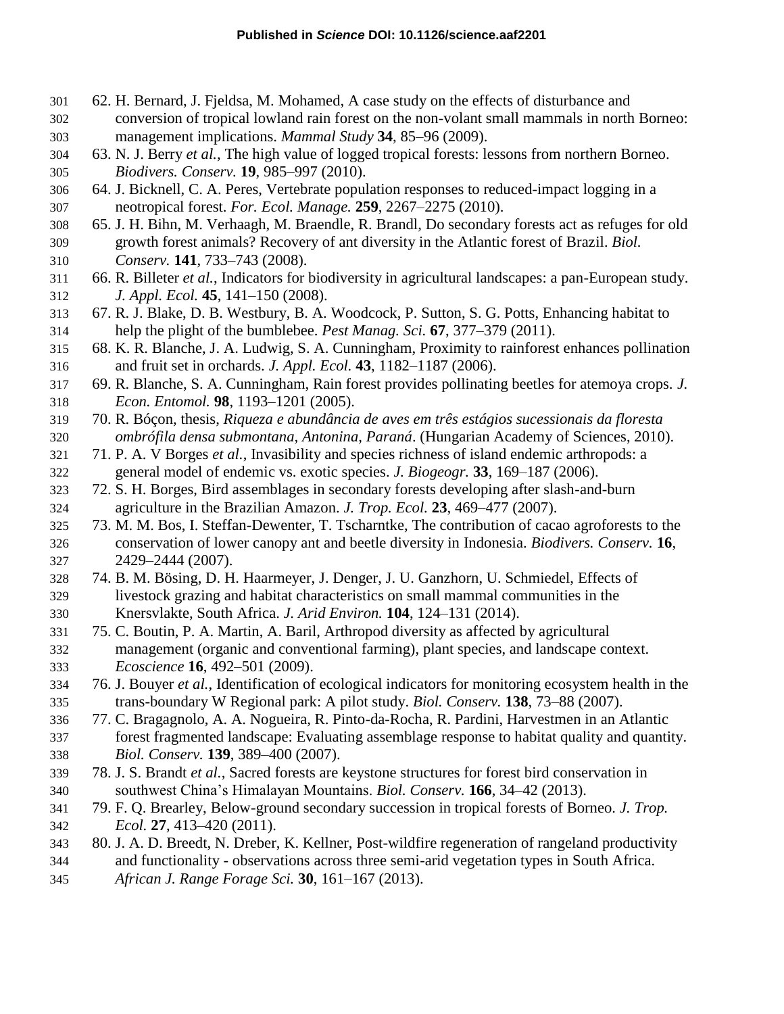- 62. H. Bernard, J. Fjeldsa, M. Mohamed, A case study on the effects of disturbance and conversion of tropical lowland rain forest on the non-volant small mammals in north Borneo: management implications. *Mammal Study* **34**, 85–96 (2009).
- 63. N. J. Berry *et al.*, The high value of logged tropical forests: lessons from northern Borneo. *Biodivers. Conserv.* **19**, 985–997 (2010).
- 64. J. Bicknell, C. A. Peres, Vertebrate population responses to reduced-impact logging in a neotropical forest. *For. Ecol. Manage.* **259**, 2267–2275 (2010).
- 65. J. H. Bihn, M. Verhaagh, M. Braendle, R. Brandl, Do secondary forests act as refuges for old growth forest animals? Recovery of ant diversity in the Atlantic forest of Brazil. *Biol. Conserv.* **141**, 733–743 (2008).
- 66. R. Billeter *et al.*, Indicators for biodiversity in agricultural landscapes: a pan-European study. *J. Appl. Ecol.* **45**, 141–150 (2008).
- 67. R. J. Blake, D. B. Westbury, B. A. Woodcock, P. Sutton, S. G. Potts, Enhancing habitat to help the plight of the bumblebee. *Pest Manag. Sci.* **67**, 377–379 (2011).
- 68. K. R. Blanche, J. A. Ludwig, S. A. Cunningham, Proximity to rainforest enhances pollination and fruit set in orchards. *J. Appl. Ecol.* **43**, 1182–1187 (2006).
- 69. R. Blanche, S. A. Cunningham, Rain forest provides pollinating beetles for atemoya crops. *J. Econ. Entomol.* **98**, 1193–1201 (2005).
- 70. R. Bóçon, thesis, *Riqueza e abundância de aves em três estágios sucessionais da floresta ombrófila densa submontana, Antonina, Paraná*. (Hungarian Academy of Sciences, 2010).
- 71. P. A. V Borges *et al.*, Invasibility and species richness of island endemic arthropods: a general model of endemic vs. exotic species. *J. Biogeogr.* **33**, 169–187 (2006).
- 72. S. H. Borges, Bird assemblages in secondary forests developing after slash-and-burn agriculture in the Brazilian Amazon. *J. Trop. Ecol.* **23**, 469–477 (2007).
- 73. M. M. Bos, I. Steffan-Dewenter, T. Tscharntke, The contribution of cacao agroforests to the conservation of lower canopy ant and beetle diversity in Indonesia. *Biodivers. Conserv.* **16**, 2429–2444 (2007).
- 74. B. M. Bösing, D. H. Haarmeyer, J. Denger, J. U. Ganzhorn, U. Schmiedel, Effects of livestock grazing and habitat characteristics on small mammal communities in the Knersvlakte, South Africa. *J. Arid Environ.* **104**, 124–131 (2014).
- 75. C. Boutin, P. A. Martin, A. Baril, Arthropod diversity as affected by agricultural management (organic and conventional farming), plant species, and landscape context. *Ecoscience* **16**, 492–501 (2009).
- 76. J. Bouyer *et al.*, Identification of ecological indicators for monitoring ecosystem health in the trans-boundary W Regional park: A pilot study. *Biol. Conserv.* **138**, 73–88 (2007).
- 77. C. Bragagnolo, A. A. Nogueira, R. Pinto-da-Rocha, R. Pardini, Harvestmen in an Atlantic forest fragmented landscape: Evaluating assemblage response to habitat quality and quantity. *Biol. Conserv.* **139**, 389–400 (2007).
- 78. J. S. Brandt *et al.*, Sacred forests are keystone structures for forest bird conservation in southwest China's Himalayan Mountains. *Biol. Conserv.* **166**, 34–42 (2013).
- 79. F. Q. Brearley, Below-ground secondary succession in tropical forests of Borneo. *J. Trop. Ecol.* **27**, 413–420 (2011).
- 80. J. A. D. Breedt, N. Dreber, K. Kellner, Post-wildfire regeneration of rangeland productivity
- and functionality observations across three semi-arid vegetation types in South Africa. *African J. Range Forage Sci.* **30**, 161–167 (2013).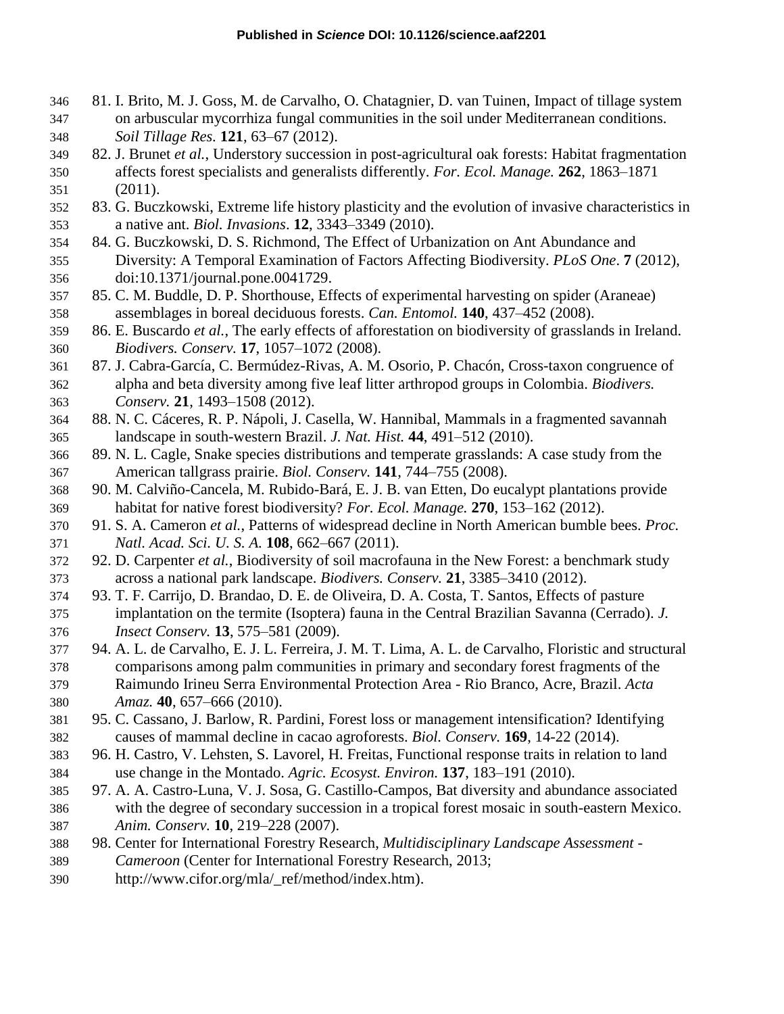- 81. I. Brito, M. J. Goss, M. de Carvalho, O. Chatagnier, D. van Tuinen, Impact of tillage system on arbuscular mycorrhiza fungal communities in the soil under Mediterranean conditions. *Soil Tillage Res.* **121**, 63–67 (2012).
- 82. J. Brunet *et al.*, Understory succession in post-agricultural oak forests: Habitat fragmentation affects forest specialists and generalists differently. *For. Ecol. Manage.* **262**, 1863–1871 (2011).
- 83. G. Buczkowski, Extreme life history plasticity and the evolution of invasive characteristics in a native ant. *Biol. Invasions*. **12**, 3343–3349 (2010).
- 84. G. Buczkowski, D. S. Richmond, The Effect of Urbanization on Ant Abundance and Diversity: A Temporal Examination of Factors Affecting Biodiversity. *PLoS One*. **7** (2012), doi:10.1371/journal.pone.0041729.
- 85. C. M. Buddle, D. P. Shorthouse, Effects of experimental harvesting on spider (Araneae) assemblages in boreal deciduous forests. *Can. Entomol.* **140**, 437–452 (2008).
- 86. E. Buscardo *et al.*, The early effects of afforestation on biodiversity of grasslands in Ireland. *Biodivers. Conserv.* **17**, 1057–1072 (2008).
- 87. J. Cabra-García, C. Bermúdez-Rivas, A. M. Osorio, P. Chacón, Cross-taxon congruence of alpha and beta diversity among five leaf litter arthropod groups in Colombia. *Biodivers. Conserv.* **21**, 1493–1508 (2012).
- 88. N. C. Cáceres, R. P. Nápoli, J. Casella, W. Hannibal, Mammals in a fragmented savannah landscape in south-western Brazil. *J. Nat. Hist.* **44**, 491–512 (2010).
- 89. N. L. Cagle, Snake species distributions and temperate grasslands: A case study from the American tallgrass prairie. *Biol. Conserv.* **141**, 744–755 (2008).
- 90. M. Calviño-Cancela, M. Rubido-Bará, E. J. B. van Etten, Do eucalypt plantations provide habitat for native forest biodiversity? *For. Ecol. Manage.* **270**, 153–162 (2012).
- 91. S. A. Cameron *et al.*, Patterns of widespread decline in North American bumble bees. *Proc. Natl. Acad. Sci. U. S. A.* **108**, 662–667 (2011).
- 92. D. Carpenter *et al.*, Biodiversity of soil macrofauna in the New Forest: a benchmark study across a national park landscape. *Biodivers. Conserv.* **21**, 3385–3410 (2012).
- 93. T. F. Carrijo, D. Brandao, D. E. de Oliveira, D. A. Costa, T. Santos, Effects of pasture implantation on the termite (Isoptera) fauna in the Central Brazilian Savanna (Cerrado). *J. Insect Conserv.* **13**, 575–581 (2009).
- 94. A. L. de Carvalho, E. J. L. Ferreira, J. M. T. Lima, A. L. de Carvalho, Floristic and structural comparisons among palm communities in primary and secondary forest fragments of the Raimundo Irineu Serra Environmental Protection Area - Rio Branco, Acre, Brazil. *Acta Amaz.* **40**, 657–666 (2010).
- 95. C. Cassano, J. Barlow, R. Pardini, Forest loss or management intensification? Identifying causes of mammal decline in cacao agroforests. *Biol. Conserv.* **169**, 14-22 (2014).
- 96. H. Castro, V. Lehsten, S. Lavorel, H. Freitas, Functional response traits in relation to land use change in the Montado. *Agric. Ecosyst. Environ.* **137**, 183–191 (2010).
- 97. A. A. Castro-Luna, V. J. Sosa, G. Castillo-Campos, Bat diversity and abundance associated with the degree of secondary succession in a tropical forest mosaic in south-eastern Mexico. *Anim. Conserv.* **10**, 219–228 (2007).
- 98. Center for International Forestry Research, *Multidisciplinary Landscape Assessment -*
- *Cameroon* (Center for International Forestry Research, 2013;
- http://www.cifor.org/mla/\_ref/method/index.htm).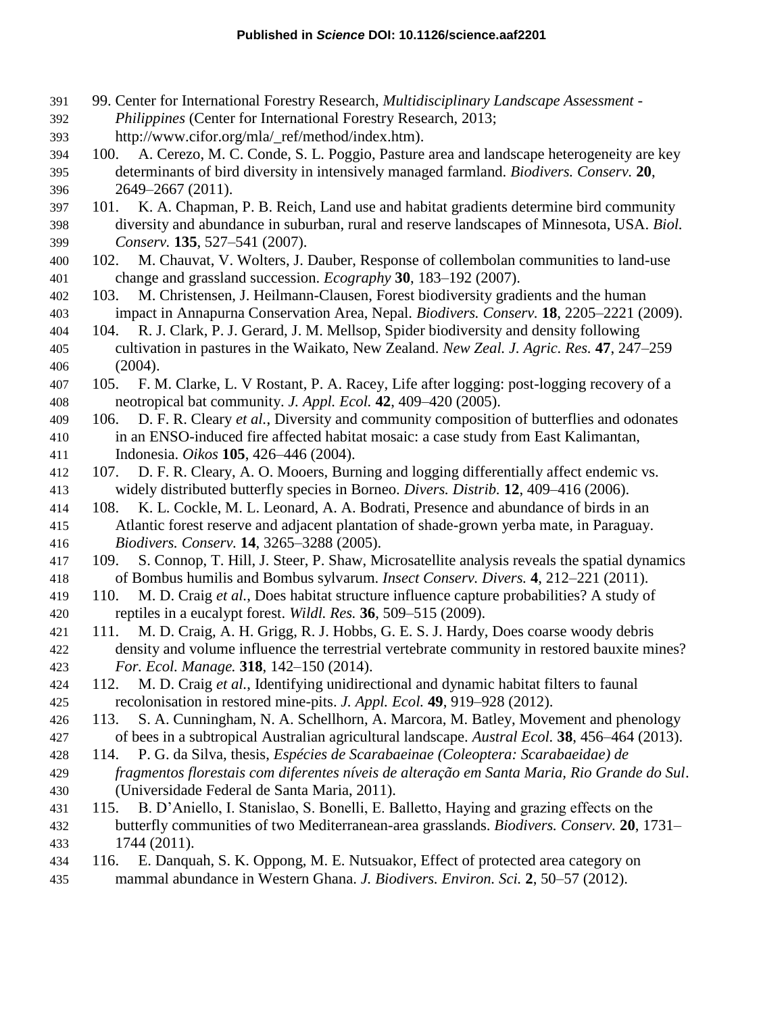- 99. Center for International Forestry Research, *Multidisciplinary Landscape Assessment -*
- *Philippines* (Center for International Forestry Research, 2013;
- http://www.cifor.org/mla/\_ref/method/index.htm).
- 100. A. Cerezo, M. C. Conde, S. L. Poggio, Pasture area and landscape heterogeneity are key determinants of bird diversity in intensively managed farmland. *Biodivers. Conserv.* **20**, 2649–2667 (2011).
- 101. K. A. Chapman, P. B. Reich, Land use and habitat gradients determine bird community diversity and abundance in suburban, rural and reserve landscapes of Minnesota, USA. *Biol. Conserv.* **135**, 527–541 (2007).
- 102. M. Chauvat, V. Wolters, J. Dauber, Response of collembolan communities to land-use change and grassland succession. *Ecography* **30**, 183–192 (2007).
- 103. M. Christensen, J. Heilmann-Clausen, Forest biodiversity gradients and the human impact in Annapurna Conservation Area, Nepal. *Biodivers. Conserv.* **18**, 2205–2221 (2009).
- 104. R. J. Clark, P. J. Gerard, J. M. Mellsop, Spider biodiversity and density following cultivation in pastures in the Waikato, New Zealand. *New Zeal. J. Agric. Res.* **47**, 247–259 (2004).
- 105. F. M. Clarke, L. V Rostant, P. A. Racey, Life after logging: post-logging recovery of a neotropical bat community. *J. Appl. Ecol.* **42**, 409–420 (2005).
- 106. D. F. R. Cleary *et al.*, Diversity and community composition of butterflies and odonates in an ENSO-induced fire affected habitat mosaic: a case study from East Kalimantan, Indonesia. *Oikos* **105**, 426–446 (2004).
- 107. D. F. R. Cleary, A. O. Mooers, Burning and logging differentially affect endemic vs. widely distributed butterfly species in Borneo. *Divers. Distrib.* **12**, 409–416 (2006).
- 108. K. L. Cockle, M. L. Leonard, A. A. Bodrati, Presence and abundance of birds in an Atlantic forest reserve and adjacent plantation of shade-grown yerba mate, in Paraguay. *Biodivers. Conserv.* **14**, 3265–3288 (2005).
- 109. S. Connop, T. Hill, J. Steer, P. Shaw, Microsatellite analysis reveals the spatial dynamics of Bombus humilis and Bombus sylvarum. *Insect Conserv. Divers.* **4**, 212–221 (2011).
- 110. M. D. Craig *et al.*, Does habitat structure influence capture probabilities? A study of reptiles in a eucalypt forest. *Wildl. Res.* **36**, 509–515 (2009).
- 111. M. D. Craig, A. H. Grigg, R. J. Hobbs, G. E. S. J. Hardy, Does coarse woody debris density and volume influence the terrestrial vertebrate community in restored bauxite mines? *For. Ecol. Manage.* **318**, 142–150 (2014).
- 112. M. D. Craig *et al.*, Identifying unidirectional and dynamic habitat filters to faunal recolonisation in restored mine-pits. *J. Appl. Ecol.* **49**, 919–928 (2012).
- 113. S. A. Cunningham, N. A. Schellhorn, A. Marcora, M. Batley, Movement and phenology of bees in a subtropical Australian agricultural landscape. *Austral Ecol.* **38**, 456–464 (2013).
- 114. P. G. da Silva, thesis, *Espécies de Scarabaeinae (Coleoptera: Scarabaeidae) de*
- *fragmentos florestais com diferentes níveis de alteração em Santa Maria, Rio Grande do Sul*. (Universidade Federal de Santa Maria, 2011).
- 115. B. D'Aniello, I. Stanislao, S. Bonelli, E. Balletto, Haying and grazing effects on the butterfly communities of two Mediterranean-area grasslands. *Biodivers. Conserv.* **20**, 1731– 1744 (2011).
- 116. E. Danquah, S. K. Oppong, M. E. Nutsuakor, Effect of protected area category on mammal abundance in Western Ghana. *J. Biodivers. Environ. Sci.* **2**, 50–57 (2012).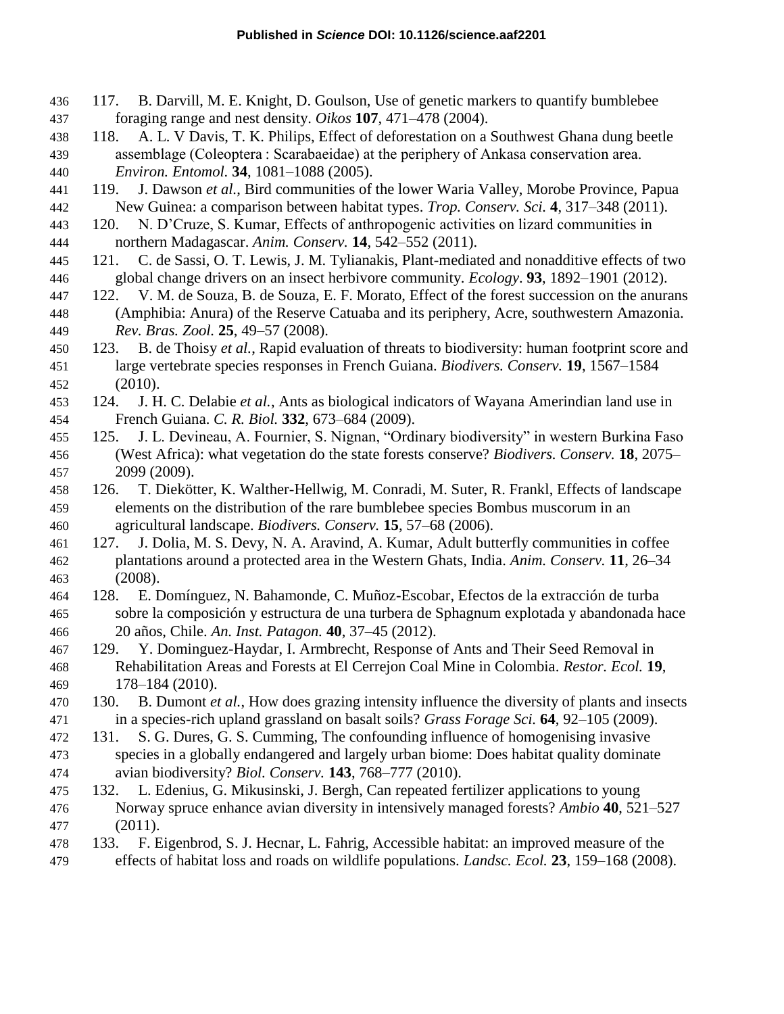- 117. B. Darvill, M. E. Knight, D. Goulson, Use of genetic markers to quantify bumblebee foraging range and nest density. *Oikos* **107**, 471–478 (2004).
- 118. A. L. V Davis, T. K. Philips, Effect of deforestation on a Southwest Ghana dung beetle assemblage (Coleoptera : Scarabaeidae) at the periphery of Ankasa conservation area. *Environ. Entomol.* **34**, 1081–1088 (2005).
- 119. J. Dawson *et al.*, Bird communities of the lower Waria Valley, Morobe Province, Papua New Guinea: a comparison between habitat types. *Trop. Conserv. Sci.* **4**, 317–348 (2011).
- 120. N. D'Cruze, S. Kumar, Effects of anthropogenic activities on lizard communities in northern Madagascar. *Anim. Conserv.* **14**, 542–552 (2011).
- 121. C. de Sassi, O. T. Lewis, J. M. Tylianakis, Plant-mediated and nonadditive effects of two global change drivers on an insect herbivore community. *Ecology*. **93**, 1892–1901 (2012).
- 122. V. M. de Souza, B. de Souza, E. F. Morato, Effect of the forest succession on the anurans (Amphibia: Anura) of the Reserve Catuaba and its periphery, Acre, southwestern Amazonia. *Rev. Bras. Zool.* **25**, 49–57 (2008).
- 123. B. de Thoisy *et al.*, Rapid evaluation of threats to biodiversity: human footprint score and large vertebrate species responses in French Guiana. *Biodivers. Conserv.* **19**, 1567–1584 (2010).
- 124. J. H. C. Delabie *et al.*, Ants as biological indicators of Wayana Amerindian land use in French Guiana. *C. R. Biol.* **332**, 673–684 (2009).
- 125. J. L. Devineau, A. Fournier, S. Nignan, "Ordinary biodiversity" in western Burkina Faso (West Africa): what vegetation do the state forests conserve? *Biodivers. Conserv.* **18**, 2075– 2099 (2009).
- 126. T. Diekötter, K. Walther-Hellwig, M. Conradi, M. Suter, R. Frankl, Effects of landscape elements on the distribution of the rare bumblebee species Bombus muscorum in an agricultural landscape. *Biodivers. Conserv.* **15**, 57–68 (2006).
- 127. J. Dolia, M. S. Devy, N. A. Aravind, A. Kumar, Adult butterfly communities in coffee plantations around a protected area in the Western Ghats, India. *Anim. Conserv.* **11**, 26–34 (2008).
- 128. E. Domínguez, N. Bahamonde, C. Muñoz-Escobar, Efectos de la extracción de turba sobre la composición y estructura de una turbera de Sphagnum explotada y abandonada hace 20 años, Chile. *An. Inst. Patagon.* **40**, 37–45 (2012).
- 129. Y. Dominguez-Haydar, I. Armbrecht, Response of Ants and Their Seed Removal in Rehabilitation Areas and Forests at El Cerrejon Coal Mine in Colombia. *Restor. Ecol.* **19**, 178–184 (2010).
- 130. B. Dumont *et al.*, How does grazing intensity influence the diversity of plants and insects in a species-rich upland grassland on basalt soils? *Grass Forage Sci.* **64**, 92–105 (2009).
- 131. S. G. Dures, G. S. Cumming, The confounding influence of homogenising invasive species in a globally endangered and largely urban biome: Does habitat quality dominate avian biodiversity? *Biol. Conserv.* **143**, 768–777 (2010).
- 132. L. Edenius, G. Mikusinski, J. Bergh, Can repeated fertilizer applications to young Norway spruce enhance avian diversity in intensively managed forests? *Ambio* **40**, 521–527 (2011).
- 133. F. Eigenbrod, S. J. Hecnar, L. Fahrig, Accessible habitat: an improved measure of the effects of habitat loss and roads on wildlife populations. *Landsc. Ecol.* **23**, 159–168 (2008).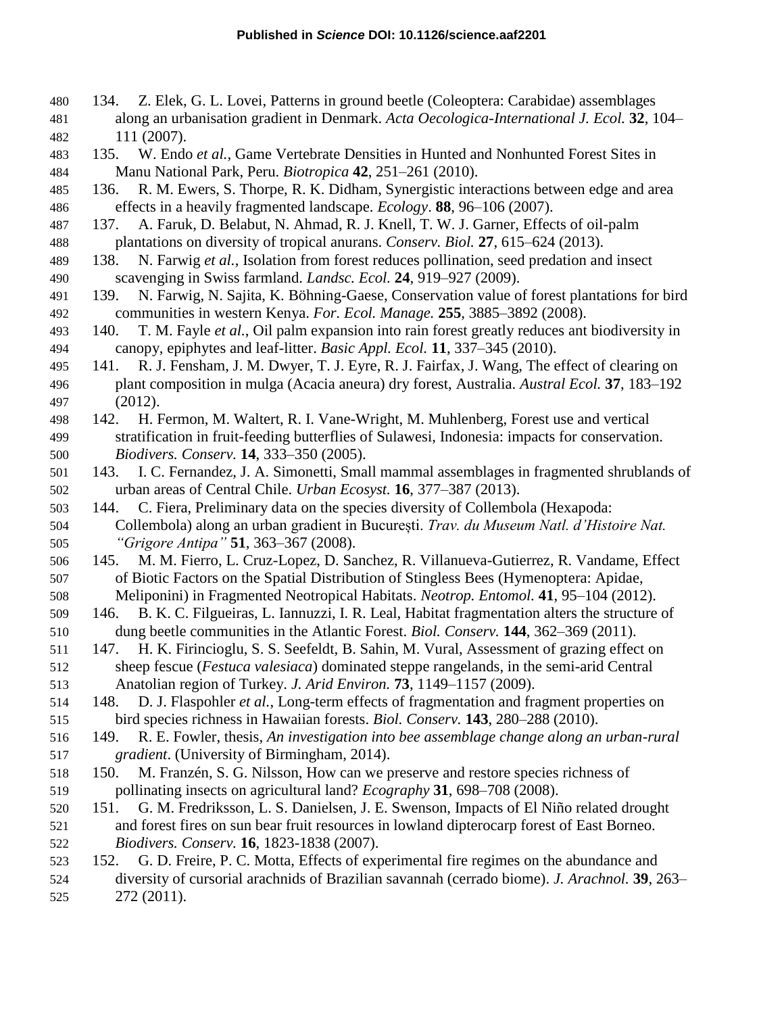- 134. Z. Elek, G. L. Lovei, Patterns in ground beetle (Coleoptera: Carabidae) assemblages along an urbanisation gradient in Denmark. *Acta Oecologica-International J. Ecol.* **32**, 104– 111 (2007).
- 135. W. Endo *et al.*, Game Vertebrate Densities in Hunted and Nonhunted Forest Sites in Manu National Park, Peru. *Biotropica* **42**, 251–261 (2010).
- 136. R. M. Ewers, S. Thorpe, R. K. Didham, Synergistic interactions between edge and area effects in a heavily fragmented landscape. *Ecology*. **88**, 96–106 (2007).
- 137. A. Faruk, D. Belabut, N. Ahmad, R. J. Knell, T. W. J. Garner, Effects of oil-palm plantations on diversity of tropical anurans. *Conserv. Biol.* **27**, 615–624 (2013).
- 138. N. Farwig *et al.*, Isolation from forest reduces pollination, seed predation and insect scavenging in Swiss farmland. *Landsc. Ecol.* **24**, 919–927 (2009).
- 139. N. Farwig, N. Sajita, K. Böhning-Gaese, Conservation value of forest plantations for bird communities in western Kenya. *For. Ecol. Manage.* **255**, 3885–3892 (2008).
- 140. T. M. Fayle *et al.*, Oil palm expansion into rain forest greatly reduces ant biodiversity in canopy, epiphytes and leaf-litter. *Basic Appl. Ecol.* **11**, 337–345 (2010).
- 141. R. J. Fensham, J. M. Dwyer, T. J. Eyre, R. J. Fairfax, J. Wang, The effect of clearing on plant composition in mulga (Acacia aneura) dry forest, Australia. *Austral Ecol.* **37**, 183–192 (2012).
- 142. H. Fermon, M. Waltert, R. I. Vane-Wright, M. Muhlenberg, Forest use and vertical stratification in fruit-feeding butterflies of Sulawesi, Indonesia: impacts for conservation. *Biodivers. Conserv.* **14**, 333–350 (2005).
- 143. I. C. Fernandez, J. A. Simonetti, Small mammal assemblages in fragmented shrublands of urban areas of Central Chile. *Urban Ecosyst.* **16**, 377–387 (2013).
- 144. C. Fiera, Preliminary data on the species diversity of Collembola (Hexapoda: Collembola) along an urban gradient in București. *Trav. du Museum Natl. d'Histoire Nat. "Grigore Antipa"* **51**, 363–367 (2008).
- 145. M. M. Fierro, L. Cruz-Lopez, D. Sanchez, R. Villanueva-Gutierrez, R. Vandame, Effect of Biotic Factors on the Spatial Distribution of Stingless Bees (Hymenoptera: Apidae, Meliponini) in Fragmented Neotropical Habitats. *Neotrop. Entomol.* **41**, 95–104 (2012).
- 146. B. K. C. Filgueiras, L. Iannuzzi, I. R. Leal, Habitat fragmentation alters the structure of dung beetle communities in the Atlantic Forest. *Biol. Conserv.* **144**, 362–369 (2011).
- 147. H. K. Firincioglu, S. S. Seefeldt, B. Sahin, M. Vural, Assessment of grazing effect on sheep fescue (*Festuca valesiaca*) dominated steppe rangelands, in the semi-arid Central Anatolian region of Turkey. *J. Arid Environ.* **73**, 1149–1157 (2009).
- 148. D. J. Flaspohler *et al.*, Long-term effects of fragmentation and fragment properties on bird species richness in Hawaiian forests. *Biol. Conserv.* **143**, 280–288 (2010).
- 149. R. E. Fowler, thesis, *An investigation into bee assemblage change along an urban-rural gradient*. (University of Birmingham, 2014).
- 150. M. Franzén, S. G. Nilsson, How can we preserve and restore species richness of pollinating insects on agricultural land? *Ecography* **31**, 698–708 (2008).
- 151. G. M. Fredriksson, L. S. Danielsen, J. E. Swenson, Impacts of El Niño related drought and forest fires on sun bear fruit resources in lowland dipterocarp forest of East Borneo. *Biodivers. Conserv.* **16**, 1823-1838 (2007).
- 152. G. D. Freire, P. C. Motta, Effects of experimental fire regimes on the abundance and
- diversity of cursorial arachnids of Brazilian savannah (cerrado biome). *J. Arachnol.* **39**, 263– 272 (2011).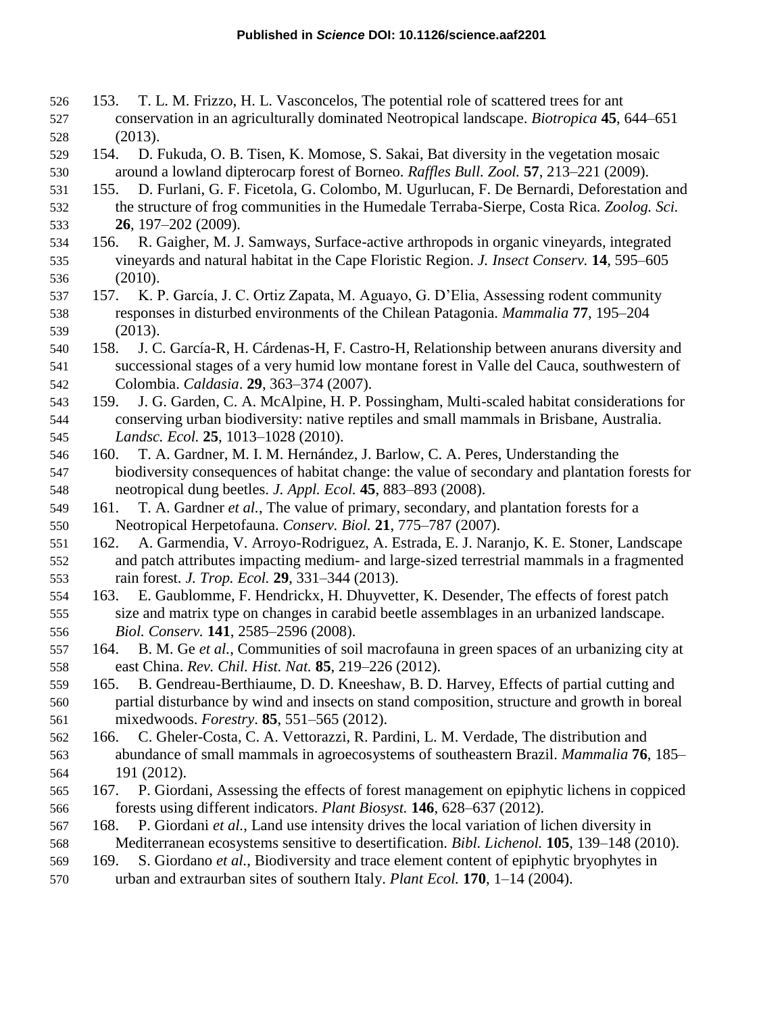- 153. T. L. M. Frizzo, H. L. Vasconcelos, The potential role of scattered trees for ant conservation in an agriculturally dominated Neotropical landscape. *Biotropica* **45**, 644–651 (2013).
- 154. D. Fukuda, O. B. Tisen, K. Momose, S. Sakai, Bat diversity in the vegetation mosaic around a lowland dipterocarp forest of Borneo. *Raffles Bull. Zool.* **57**, 213–221 (2009).
- 155. D. Furlani, G. F. Ficetola, G. Colombo, M. Ugurlucan, F. De Bernardi, Deforestation and the structure of frog communities in the Humedale Terraba-Sierpe, Costa Rica. *Zoolog. Sci.* **26**, 197–202 (2009).
- 156. R. Gaigher, M. J. Samways, Surface-active arthropods in organic vineyards, integrated vineyards and natural habitat in the Cape Floristic Region. *J. Insect Conserv.* **14**, 595–605 (2010).
- 157. K. P. García, J. C. Ortiz Zapata, M. Aguayo, G. D'Elia, Assessing rodent community responses in disturbed environments of the Chilean Patagonia. *Mammalia* **77**, 195–204 (2013).
- 158. J. C. García-R, H. Cárdenas-H, F. Castro-H, Relationship between anurans diversity and successional stages of a very humid low montane forest in Valle del Cauca, southwestern of Colombia. *Caldasia*. **29**, 363–374 (2007).
- 159. J. G. Garden, C. A. McAlpine, H. P. Possingham, Multi-scaled habitat considerations for conserving urban biodiversity: native reptiles and small mammals in Brisbane, Australia. *Landsc. Ecol.* **25**, 1013–1028 (2010).
- 160. T. A. Gardner, M. I. M. Hernández, J. Barlow, C. A. Peres, Understanding the biodiversity consequences of habitat change: the value of secondary and plantation forests for neotropical dung beetles. *J. Appl. Ecol.* **45**, 883–893 (2008).
- 161. T. A. Gardner *et al.*, The value of primary, secondary, and plantation forests for a Neotropical Herpetofauna. *Conserv. Biol.* **21**, 775–787 (2007).
- 162. A. Garmendia, V. Arroyo-Rodriguez, A. Estrada, E. J. Naranjo, K. E. Stoner, Landscape and patch attributes impacting medium- and large-sized terrestrial mammals in a fragmented rain forest. *J. Trop. Ecol.* **29**, 331–344 (2013).
- 163. E. Gaublomme, F. Hendrickx, H. Dhuyvetter, K. Desender, The effects of forest patch size and matrix type on changes in carabid beetle assemblages in an urbanized landscape. *Biol. Conserv.* **141**, 2585–2596 (2008).
- 164. B. M. Ge *et al.*, Communities of soil macrofauna in green spaces of an urbanizing city at east China. *Rev. Chil. Hist. Nat.* **85**, 219–226 (2012).
- 165. B. Gendreau-Berthiaume, D. D. Kneeshaw, B. D. Harvey, Effects of partial cutting and partial disturbance by wind and insects on stand composition, structure and growth in boreal mixedwoods. *Forestry*. **85**, 551–565 (2012).
- 166. C. Gheler-Costa, C. A. Vettorazzi, R. Pardini, L. M. Verdade, The distribution and abundance of small mammals in agroecosystems of southeastern Brazil. *Mammalia* **76**, 185–
- 191 (2012).
- 167. P. Giordani, Assessing the effects of forest management on epiphytic lichens in coppiced forests using different indicators. *Plant Biosyst.* **146**, 628–637 (2012).
- 168. P. Giordani *et al.*, Land use intensity drives the local variation of lichen diversity in Mediterranean ecosystems sensitive to desertification. *Bibl. Lichenol.* **105**, 139–148 (2010).
- 169. S. Giordano *et al.*, Biodiversity and trace element content of epiphytic bryophytes in
- urban and extraurban sites of southern Italy. *Plant Ecol.* **170**, 1–14 (2004).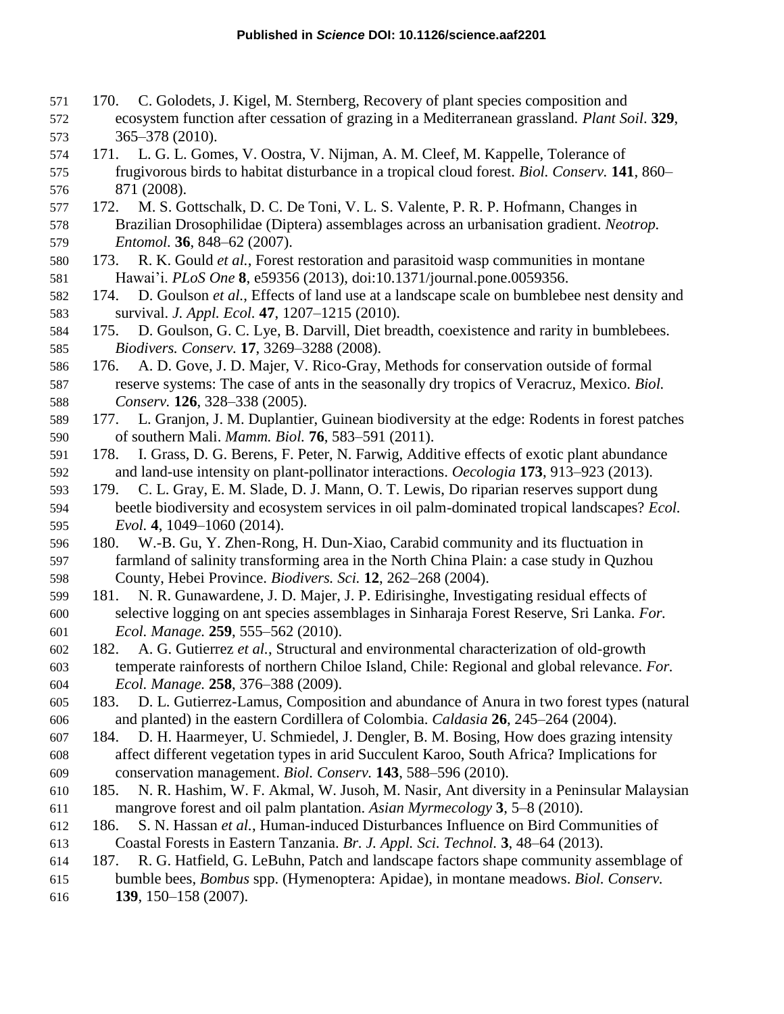- 170. C. Golodets, J. Kigel, M. Sternberg, Recovery of plant species composition and ecosystem function after cessation of grazing in a Mediterranean grassland. *Plant Soil*. **329**, 365–378 (2010).
- 171. L. G. L. Gomes, V. Oostra, V. Nijman, A. M. Cleef, M. Kappelle, Tolerance of frugivorous birds to habitat disturbance in a tropical cloud forest. *Biol. Conserv.* **141**, 860– 871 (2008).
- 172. M. S. Gottschalk, D. C. De Toni, V. L. S. Valente, P. R. P. Hofmann, Changes in Brazilian Drosophilidae (Diptera) assemblages across an urbanisation gradient. *Neotrop. Entomol.* **36**, 848–62 (2007).
- 173. R. K. Gould *et al.*, Forest restoration and parasitoid wasp communities in montane Hawai'i. *PLoS One* **8**, e59356 (2013), doi:10.1371/journal.pone.0059356.
- 174. D. Goulson *et al.*, Effects of land use at a landscape scale on bumblebee nest density and survival. *J. Appl. Ecol.* **47**, 1207–1215 (2010).
- 175. D. Goulson, G. C. Lye, B. Darvill, Diet breadth, coexistence and rarity in bumblebees. *Biodivers. Conserv.* **17**, 3269–3288 (2008).
- 176. A. D. Gove, J. D. Majer, V. Rico-Gray, Methods for conservation outside of formal reserve systems: The case of ants in the seasonally dry tropics of Veracruz, Mexico. *Biol. Conserv.* **126**, 328–338 (2005).
- 177. L. Granjon, J. M. Duplantier, Guinean biodiversity at the edge: Rodents in forest patches of southern Mali. *Mamm. Biol.* **76**, 583–591 (2011).
- 178. I. Grass, D. G. Berens, F. Peter, N. Farwig, Additive effects of exotic plant abundance and land-use intensity on plant-pollinator interactions. *Oecologia* **173**, 913–923 (2013).
- 179. C. L. Gray, E. M. Slade, D. J. Mann, O. T. Lewis, Do riparian reserves support dung beetle biodiversity and ecosystem services in oil palm-dominated tropical landscapes? *Ecol. Evol.* **4**, 1049–1060 (2014).
- 180. W.-B. Gu, Y. Zhen-Rong, H. Dun-Xiao, Carabid community and its fluctuation in farmland of salinity transforming area in the North China Plain: a case study in Quzhou County, Hebei Province. *Biodivers. Sci.* **12**, 262–268 (2004).
- 181. N. R. Gunawardene, J. D. Majer, J. P. Edirisinghe, Investigating residual effects of selective logging on ant species assemblages in Sinharaja Forest Reserve, Sri Lanka. *For. Ecol. Manage.* **259**, 555–562 (2010).
- 182. A. G. Gutierrez *et al.*, Structural and environmental characterization of old-growth temperate rainforests of northern Chiloe Island, Chile: Regional and global relevance. *For. Ecol. Manage.* **258**, 376–388 (2009).
- 183. D. L. Gutierrez-Lamus, Composition and abundance of Anura in two forest types (natural and planted) in the eastern Cordillera of Colombia. *Caldasia* **26**, 245–264 (2004).
- 184. D. H. Haarmeyer, U. Schmiedel, J. Dengler, B. M. Bosing, How does grazing intensity affect different vegetation types in arid Succulent Karoo, South Africa? Implications for conservation management. *Biol. Conserv.* **143**, 588–596 (2010).
- 185. N. R. Hashim, W. F. Akmal, W. Jusoh, M. Nasir, Ant diversity in a Peninsular Malaysian mangrove forest and oil palm plantation. *Asian Myrmecology* **3**, 5–8 (2010).
- 186. S. N. Hassan *et al.*, Human-induced Disturbances Influence on Bird Communities of Coastal Forests in Eastern Tanzania. *Br. J. Appl. Sci. Technol.* **3**, 48–64 (2013).
- 187. R. G. Hatfield, G. LeBuhn, Patch and landscape factors shape community assemblage of
- bumble bees, *Bombus* spp. (Hymenoptera: Apidae), in montane meadows. *Biol. Conserv.*
- **139**, 150–158 (2007).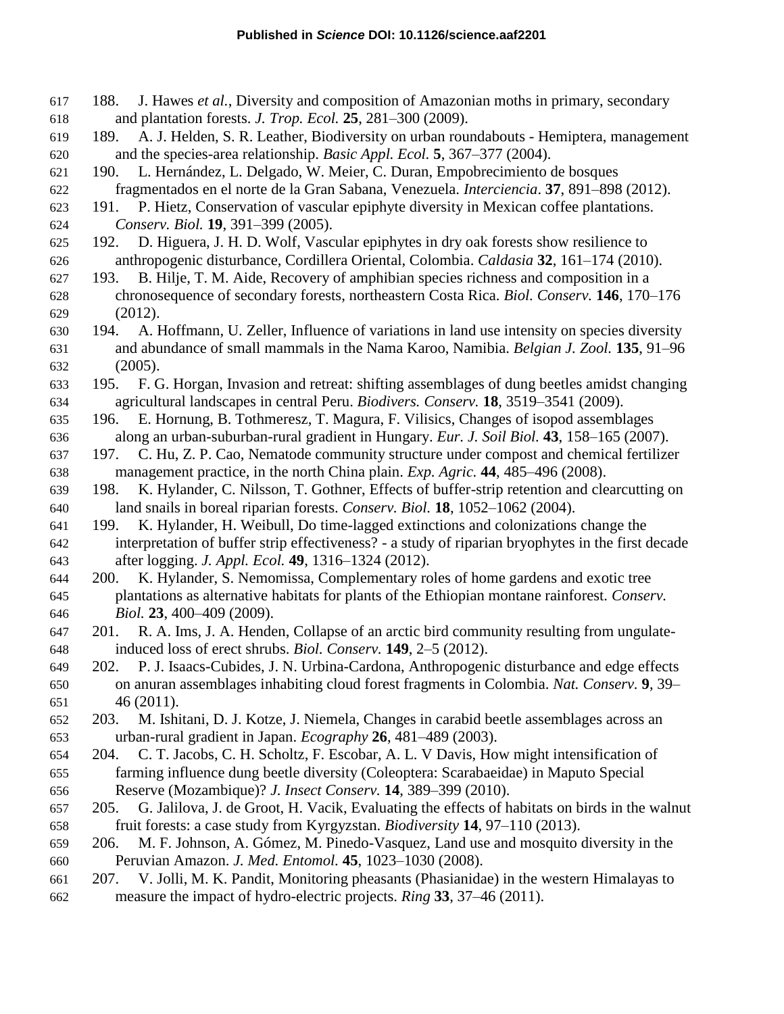- 188. J. Hawes *et al.*, Diversity and composition of Amazonian moths in primary, secondary and plantation forests. *J. Trop. Ecol.* **25**, 281–300 (2009).
- 189. A. J. Helden, S. R. Leather, Biodiversity on urban roundabouts Hemiptera, management and the species-area relationship. *Basic Appl. Ecol.* **5**, 367–377 (2004).
- 190. L. Hernández, L. Delgado, W. Meier, C. Duran, Empobrecimiento de bosques fragmentados en el norte de la Gran Sabana, Venezuela. *Interciencia*. **37**, 891–898 (2012).
- 191. P. Hietz, Conservation of vascular epiphyte diversity in Mexican coffee plantations. *Conserv. Biol.* **19**, 391–399 (2005).
- 192. D. Higuera, J. H. D. Wolf, Vascular epiphytes in dry oak forests show resilience to anthropogenic disturbance, Cordillera Oriental, Colombia. *Caldasia* **32**, 161–174 (2010).
- 193. B. Hilje, T. M. Aide, Recovery of amphibian species richness and composition in a chronosequence of secondary forests, northeastern Costa Rica. *Biol. Conserv.* **146**, 170–176 (2012).
- 194. A. Hoffmann, U. Zeller, Influence of variations in land use intensity on species diversity and abundance of small mammals in the Nama Karoo, Namibia. *Belgian J. Zool.* **135**, 91–96 (2005).
- 195. F. G. Horgan, Invasion and retreat: shifting assemblages of dung beetles amidst changing agricultural landscapes in central Peru. *Biodivers. Conserv.* **18**, 3519–3541 (2009).
- 196. E. Hornung, B. Tothmeresz, T. Magura, F. Vilisics, Changes of isopod assemblages along an urban-suburban-rural gradient in Hungary. *Eur. J. Soil Biol.* **43**, 158–165 (2007).
- 197. C. Hu, Z. P. Cao, Nematode community structure under compost and chemical fertilizer management practice, in the north China plain. *Exp. Agric.* **44**, 485–496 (2008).
- 198. K. Hylander, C. Nilsson, T. Gothner, Effects of buffer-strip retention and clearcutting on land snails in boreal riparian forests. *Conserv. Biol.* **18**, 1052–1062 (2004).
- 199. K. Hylander, H. Weibull, Do time-lagged extinctions and colonizations change the interpretation of buffer strip effectiveness? - a study of riparian bryophytes in the first decade after logging. *J. Appl. Ecol.* **49**, 1316–1324 (2012).
- 200. K. Hylander, S. Nemomissa, Complementary roles of home gardens and exotic tree plantations as alternative habitats for plants of the Ethiopian montane rainforest. *Conserv. Biol.* **23**, 400–409 (2009).
- 201. R. A. Ims, J. A. Henden, Collapse of an arctic bird community resulting from ungulate-induced loss of erect shrubs. *Biol. Conserv.* **149**, 2–5 (2012).
- 202. P. J. Isaacs-Cubides, J. N. Urbina-Cardona, Anthropogenic disturbance and edge effects on anuran assemblages inhabiting cloud forest fragments in Colombia. *Nat. Conserv.* **9**, 39– 46 (2011).
- 203. M. Ishitani, D. J. Kotze, J. Niemela, Changes in carabid beetle assemblages across an urban-rural gradient in Japan. *Ecography* **26**, 481–489 (2003).
- 204. C. T. Jacobs, C. H. Scholtz, F. Escobar, A. L. V Davis, How might intensification of farming influence dung beetle diversity (Coleoptera: Scarabaeidae) in Maputo Special Reserve (Mozambique)? *J. Insect Conserv.* **14**, 389–399 (2010).
- 205. G. Jalilova, J. de Groot, H. Vacik, Evaluating the effects of habitats on birds in the walnut fruit forests: a case study from Kyrgyzstan. *Biodiversity* **14**, 97–110 (2013).
- 206. M. F. Johnson, A. Gómez, M. Pinedo-Vasquez, Land use and mosquito diversity in the Peruvian Amazon. *J. Med. Entomol.* **45**, 1023–1030 (2008).
- 207. V. Jolli, M. K. Pandit, Monitoring pheasants (Phasianidae) in the western Himalayas to measure the impact of hydro-electric projects. *Ring* **33**, 37–46 (2011).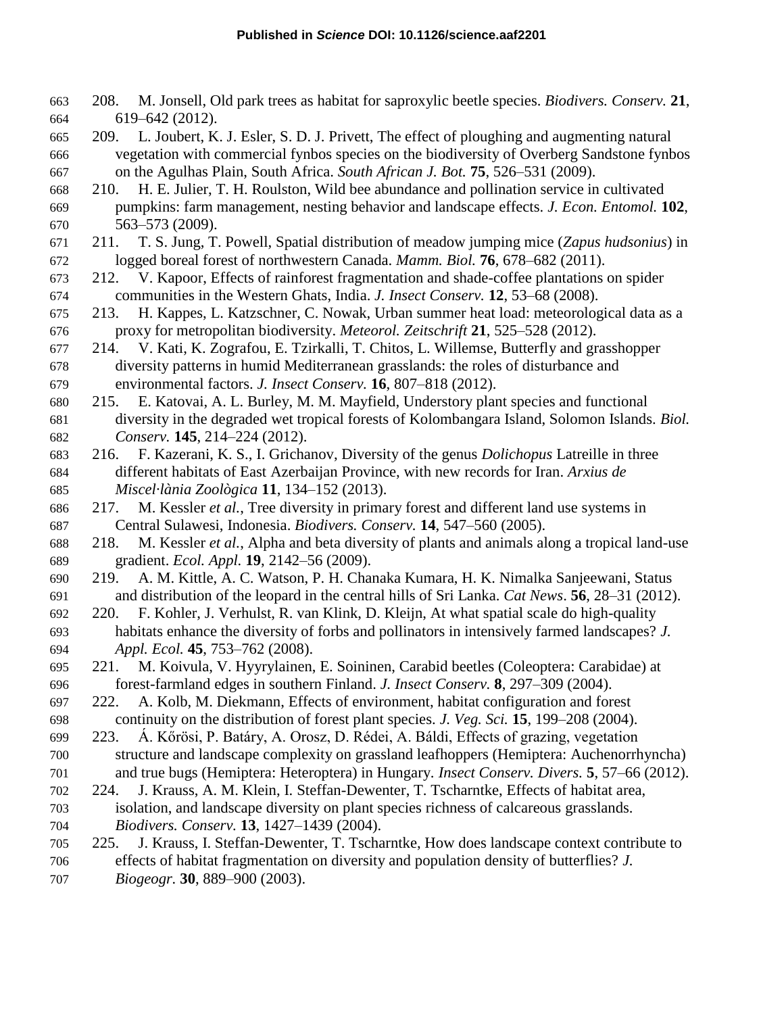- 208. M. Jonsell, Old park trees as habitat for saproxylic beetle species. *Biodivers. Conserv.* **21**, 619–642 (2012).
- 209. L. Joubert, K. J. Esler, S. D. J. Privett, The effect of ploughing and augmenting natural vegetation with commercial fynbos species on the biodiversity of Overberg Sandstone fynbos on the Agulhas Plain, South Africa. *South African J. Bot.* **75**, 526–531 (2009).
- 210. H. E. Julier, T. H. Roulston, Wild bee abundance and pollination service in cultivated pumpkins: farm management, nesting behavior and landscape effects. *J. Econ. Entomol.* **102**, 563–573 (2009).
- 211. T. S. Jung, T. Powell, Spatial distribution of meadow jumping mice (*Zapus hudsonius*) in logged boreal forest of northwestern Canada. *Mamm. Biol.* **76**, 678–682 (2011).
- 212. V. Kapoor, Effects of rainforest fragmentation and shade-coffee plantations on spider communities in the Western Ghats, India. *J. Insect Conserv.* **12**, 53–68 (2008).
- 213. H. Kappes, L. Katzschner, C. Nowak, Urban summer heat load: meteorological data as a proxy for metropolitan biodiversity. *Meteorol. Zeitschrift* **21**, 525–528 (2012).
- 214. V. Kati, K. Zografou, E. Tzirkalli, T. Chitos, L. Willemse, Butterfly and grasshopper diversity patterns in humid Mediterranean grasslands: the roles of disturbance and environmental factors. *J. Insect Conserv.* **16**, 807–818 (2012).
- 215. E. Katovai, A. L. Burley, M. M. Mayfield, Understory plant species and functional diversity in the degraded wet tropical forests of Kolombangara Island, Solomon Islands. *Biol. Conserv.* **145**, 214–224 (2012).
- 216. F. Kazerani, K. S., I. Grichanov, Diversity of the genus *Dolichopus* Latreille in three different habitats of East Azerbaijan Province, with new records for Iran. *Arxius de Miscel·lània Zoològica* **11**, 134–152 (2013).
- 217. M. Kessler *et al.*, Tree diversity in primary forest and different land use systems in Central Sulawesi, Indonesia. *Biodivers. Conserv.* **14**, 547–560 (2005).
- 218. M. Kessler *et al.*, Alpha and beta diversity of plants and animals along a tropical land-use gradient. *Ecol. Appl.* **19**, 2142–56 (2009).
- 219. A. M. Kittle, A. C. Watson, P. H. Chanaka Kumara, H. K. Nimalka Sanjeewani, Status and distribution of the leopard in the central hills of Sri Lanka. *Cat News*. **56**, 28–31 (2012).
- 220. F. Kohler, J. Verhulst, R. van Klink, D. Kleijn, At what spatial scale do high-quality habitats enhance the diversity of forbs and pollinators in intensively farmed landscapes? *J. Appl. Ecol.* **45**, 753–762 (2008).
- 221. M. Koivula, V. Hyyrylainen, E. Soininen, Carabid beetles (Coleoptera: Carabidae) at forest-farmland edges in southern Finland. *J. Insect Conserv.* **8**, 297–309 (2004).
- 222. A. Kolb, M. Diekmann, Effects of environment, habitat configuration and forest continuity on the distribution of forest plant species. *J. Veg. Sci.* **15**, 199–208 (2004).
- 223. Á. Kőrösi, P. Batáry, A. Orosz, D. Rédei, A. Báldi, Effects of grazing, vegetation structure and landscape complexity on grassland leafhoppers (Hemiptera: Auchenorrhyncha)
- and true bugs (Hemiptera: Heteroptera) in Hungary. *Insect Conserv. Divers.* **5**, 57–66 (2012).
- 224. J. Krauss, A. M. Klein, I. Steffan-Dewenter, T. Tscharntke, Effects of habitat area, isolation, and landscape diversity on plant species richness of calcareous grasslands. *Biodivers. Conserv.* **13**, 1427–1439 (2004).
- 225. J. Krauss, I. Steffan-Dewenter, T. Tscharntke, How does landscape context contribute to
- effects of habitat fragmentation on diversity and population density of butterflies? *J. Biogeogr.* **30**, 889–900 (2003).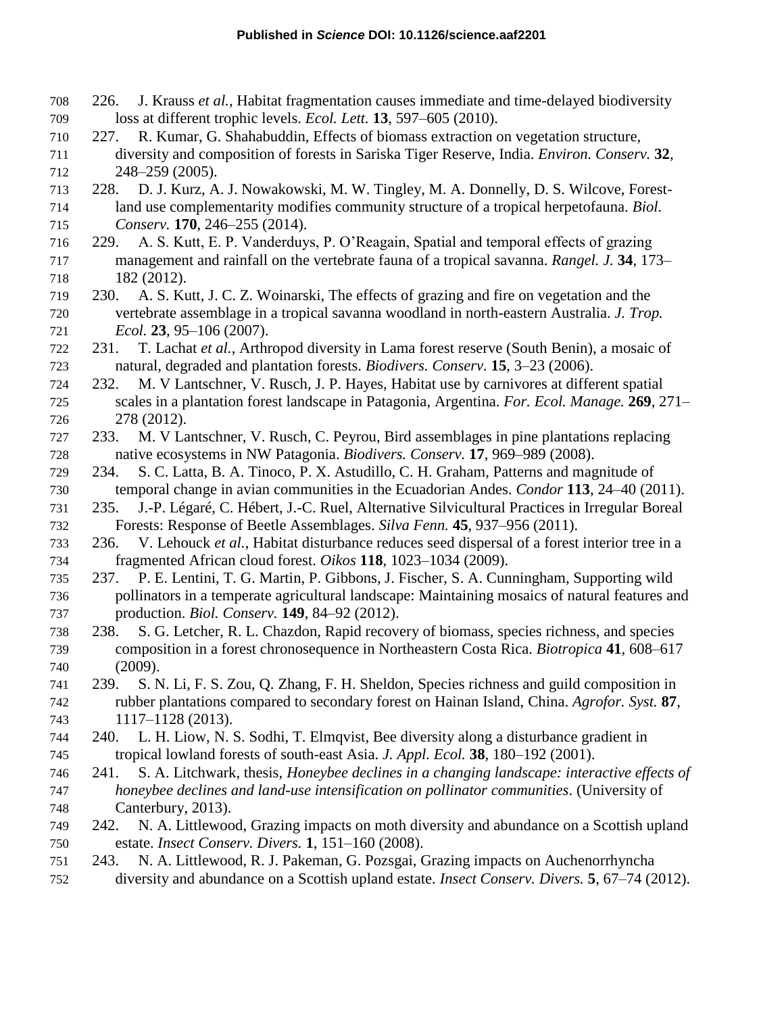- 226. J. Krauss *et al.*, Habitat fragmentation causes immediate and time-delayed biodiversity loss at different trophic levels. *Ecol. Lett.* **13**, 597–605 (2010).
- 227. R. Kumar, G. Shahabuddin, Effects of biomass extraction on vegetation structure, diversity and composition of forests in Sariska Tiger Reserve, India. *Environ. Conserv.* **32**, 248–259 (2005).
- 228. D. J. Kurz, A. J. Nowakowski, M. W. Tingley, M. A. Donnelly, D. S. Wilcove, Forest- land use complementarity modifies community structure of a tropical herpetofauna. *Biol. Conserv.* **170**, 246–255 (2014).
- 229. A. S. Kutt, E. P. Vanderduys, P. O'Reagain, Spatial and temporal effects of grazing management and rainfall on the vertebrate fauna of a tropical savanna. *Rangel. J.* **34**, 173– 182 (2012).
- 230. A. S. Kutt, J. C. Z. Woinarski, The effects of grazing and fire on vegetation and the vertebrate assemblage in a tropical savanna woodland in north-eastern Australia. *J. Trop. Ecol.* **23**, 95–106 (2007).
- 231. T. Lachat *et al.*, Arthropod diversity in Lama forest reserve (South Benin), a mosaic of natural, degraded and plantation forests. *Biodivers. Conserv.* **15**, 3–23 (2006).
- 232. M. V Lantschner, V. Rusch, J. P. Hayes, Habitat use by carnivores at different spatial scales in a plantation forest landscape in Patagonia, Argentina. *For. Ecol. Manage.* **269**, 271– 278 (2012).
- 233. M. V Lantschner, V. Rusch, C. Peyrou, Bird assemblages in pine plantations replacing native ecosystems in NW Patagonia. *Biodivers. Conserv.* **17**, 969–989 (2008).
- 234. S. C. Latta, B. A. Tinoco, P. X. Astudillo, C. H. Graham, Patterns and magnitude of temporal change in avian communities in the Ecuadorian Andes. *Condor* **113**, 24–40 (2011).
- 235. J.-P. Légaré, C. Hébert, J.-C. Ruel, Alternative Silvicultural Practices in Irregular Boreal Forests: Response of Beetle Assemblages. *Silva Fenn.* **45**, 937–956 (2011).
- 236. V. Lehouck *et al.*, Habitat disturbance reduces seed dispersal of a forest interior tree in a fragmented African cloud forest. *Oikos* **118**, 1023–1034 (2009).
- 237. P. E. Lentini, T. G. Martin, P. Gibbons, J. Fischer, S. A. Cunningham, Supporting wild pollinators in a temperate agricultural landscape: Maintaining mosaics of natural features and production. *Biol. Conserv.* **149**, 84–92 (2012).
- 238. S. G. Letcher, R. L. Chazdon, Rapid recovery of biomass, species richness, and species composition in a forest chronosequence in Northeastern Costa Rica. *Biotropica* **41**, 608–617 (2009).
- 239. S. N. Li, F. S. Zou, Q. Zhang, F. H. Sheldon, Species richness and guild composition in rubber plantations compared to secondary forest on Hainan Island, China. *Agrofor. Syst.* **87**, 1117–1128 (2013).
- 240. L. H. Liow, N. S. Sodhi, T. Elmqvist, Bee diversity along a disturbance gradient in tropical lowland forests of south-east Asia. *J. Appl. Ecol.* **38**, 180–192 (2001).
- 241. S. A. Litchwark, thesis, *Honeybee declines in a changing landscape: interactive effects of honeybee declines and land-use intensification on pollinator communities*. (University of Canterbury, 2013).
- 242. N. A. Littlewood, Grazing impacts on moth diversity and abundance on a Scottish upland estate. *Insect Conserv. Divers.* **1**, 151–160 (2008).
- 243. N. A. Littlewood, R. J. Pakeman, G. Pozsgai, Grazing impacts on Auchenorrhyncha
- diversity and abundance on a Scottish upland estate. *Insect Conserv. Divers.* **5**, 67–74 (2012).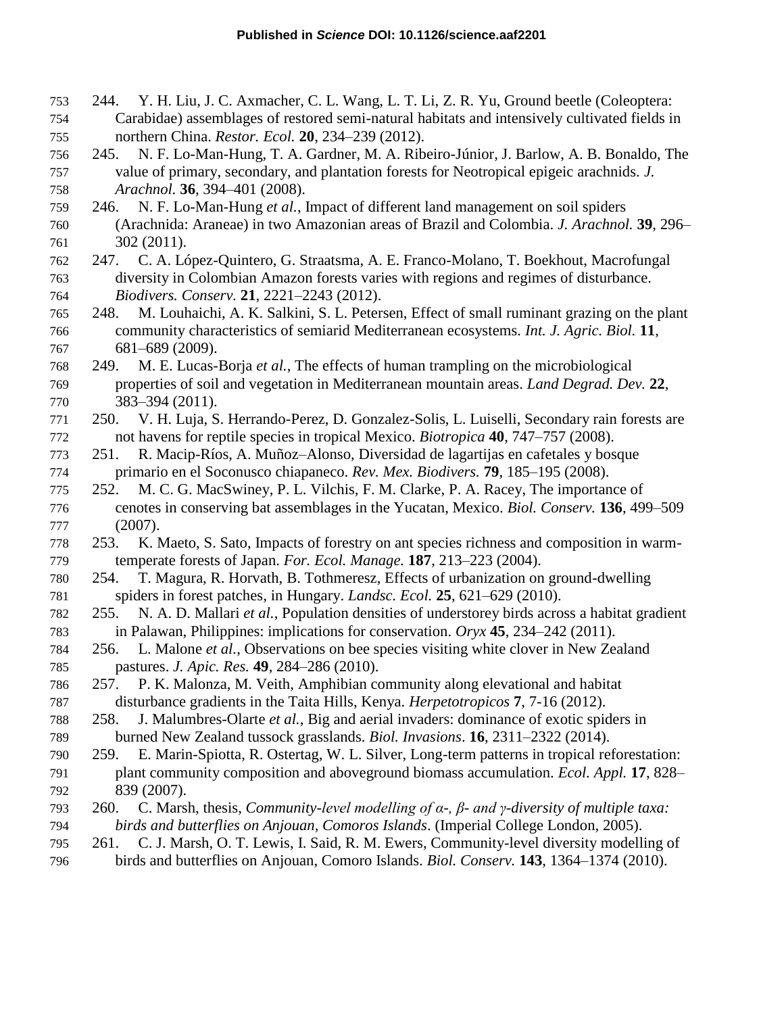- 244. Y. H. Liu, J. C. Axmacher, C. L. Wang, L. T. Li, Z. R. Yu, Ground beetle (Coleoptera: Carabidae) assemblages of restored semi-natural habitats and intensively cultivated fields in northern China. *Restor. Ecol.* **20**, 234–239 (2012).
- 245. N. F. Lo-Man-Hung, T. A. Gardner, M. A. Ribeiro-Júnior, J. Barlow, A. B. Bonaldo, The value of primary, secondary, and plantation forests for Neotropical epigeic arachnids. *J. Arachnol.* **36**, 394–401 (2008).
- 246. N. F. Lo-Man-Hung *et al.*, Impact of different land management on soil spiders (Arachnida: Araneae) in two Amazonian areas of Brazil and Colombia. *J. Arachnol.* **39**, 296– 302 (2011).
- 247. C. A. López-Quintero, G. Straatsma, A. E. Franco-Molano, T. Boekhout, Macrofungal diversity in Colombian Amazon forests varies with regions and regimes of disturbance. *Biodivers. Conserv.* **21**, 2221–2243 (2012).
- 248. M. Louhaichi, A. K. Salkini, S. L. Petersen, Effect of small ruminant grazing on the plant community characteristics of semiarid Mediterranean ecosystems. *Int. J. Agric. Biol.* **11**, 681–689 (2009).
- 249. M. E. Lucas-Borja *et al.*, The effects of human trampling on the microbiological properties of soil and vegetation in Mediterranean mountain areas. *Land Degrad. Dev.* **22**, 383–394 (2011).
- 250. V. H. Luja, S. Herrando-Perez, D. Gonzalez-Solis, L. Luiselli, Secondary rain forests are not havens for reptile species in tropical Mexico. *Biotropica* **40**, 747–757 (2008).
- 251. R. Macip-Ríos, A. Muñoz–Alonso, Diversidad de lagartijas en cafetales y bosque primario en el Soconusco chiapaneco. *Rev. Mex. Biodivers.* **79**, 185–195 (2008).
- 252. M. C. G. MacSwiney, P. L. Vilchis, F. M. Clarke, P. A. Racey, The importance of cenotes in conserving bat assemblages in the Yucatan, Mexico. *Biol. Conserv.* **136**, 499–509 (2007).
- 253. K. Maeto, S. Sato, Impacts of forestry on ant species richness and composition in warm-temperate forests of Japan. *For. Ecol. Manage.* **187**, 213–223 (2004).
- 254. T. Magura, R. Horvath, B. Tothmeresz, Effects of urbanization on ground-dwelling spiders in forest patches, in Hungary. *Landsc. Ecol.* **25**, 621–629 (2010).
- 255. N. A. D. Mallari *et al.*, Population densities of understorey birds across a habitat gradient in Palawan, Philippines: implications for conservation. *Oryx* **45**, 234–242 (2011).
- 256. L. Malone *et al.*, Observations on bee species visiting white clover in New Zealand pastures. *J. Apic. Res.* **49**, 284–286 (2010).
- 257. P. K. Malonza, M. Veith, Amphibian community along elevational and habitat disturbance gradients in the Taita Hills, Kenya. *Herpetotropicos* **7**, 7-16 (2012).
- 258. J. Malumbres-Olarte *et al.*, Big and aerial invaders: dominance of exotic spiders in burned New Zealand tussock grasslands. *Biol. Invasions*. **16**, 2311–2322 (2014).
- 259. E. Marin-Spiotta, R. Ostertag, W. L. Silver, Long-term patterns in tropical reforestation: plant community composition and aboveground biomass accumulation. *Ecol. Appl.* **17**, 828– 839 (2007).
- 260. C. Marsh, thesis, *Community-level modelling of α-, β- and γ-diversity of multiple taxa: birds and butterflies on Anjouan, Comoros Islands*. (Imperial College London, 2005).
- 261. C. J. Marsh, O. T. Lewis, I. Said, R. M. Ewers, Community-level diversity modelling of
- birds and butterflies on Anjouan, Comoro Islands. *Biol. Conserv.* **143**, 1364–1374 (2010).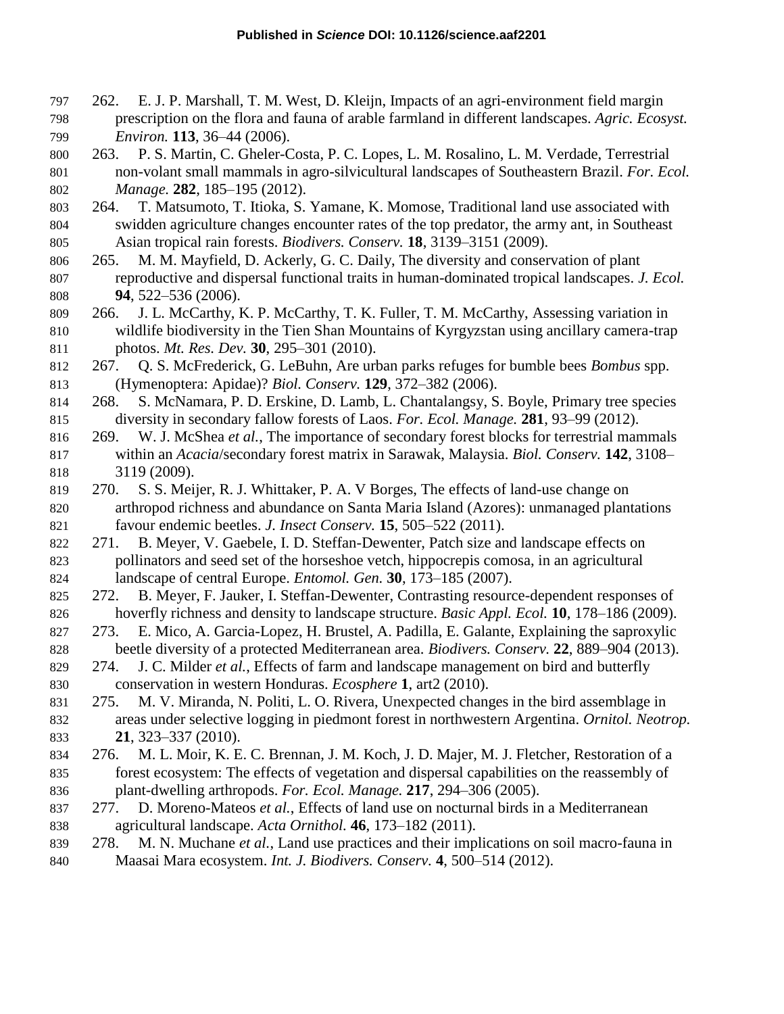- 262. E. J. P. Marshall, T. M. West, D. Kleijn, Impacts of an agri-environment field margin prescription on the flora and fauna of arable farmland in different landscapes. *Agric. Ecosyst. Environ.* **113**, 36–44 (2006).
- 263. P. S. Martin, C. Gheler-Costa, P. C. Lopes, L. M. Rosalino, L. M. Verdade, Terrestrial non-volant small mammals in agro-silvicultural landscapes of Southeastern Brazil. *For. Ecol. Manage.* **282**, 185–195 (2012).
- 264. T. Matsumoto, T. Itioka, S. Yamane, K. Momose, Traditional land use associated with swidden agriculture changes encounter rates of the top predator, the army ant, in Southeast Asian tropical rain forests. *Biodivers. Conserv.* **18**, 3139–3151 (2009).
- 265. M. M. Mayfield, D. Ackerly, G. C. Daily, The diversity and conservation of plant reproductive and dispersal functional traits in human-dominated tropical landscapes. *J. Ecol.* **94**, 522–536 (2006).
- 266. J. L. McCarthy, K. P. McCarthy, T. K. Fuller, T. M. McCarthy, Assessing variation in wildlife biodiversity in the Tien Shan Mountains of Kyrgyzstan using ancillary camera-trap photos. *Mt. Res. Dev.* **30**, 295–301 (2010).
- 267. Q. S. McFrederick, G. LeBuhn, Are urban parks refuges for bumble bees *Bombus* spp. (Hymenoptera: Apidae)? *Biol. Conserv.* **129**, 372–382 (2006).
- 268. S. McNamara, P. D. Erskine, D. Lamb, L. Chantalangsy, S. Boyle, Primary tree species diversity in secondary fallow forests of Laos. *For. Ecol. Manage.* **281**, 93–99 (2012).
- 269. W. J. McShea *et al.*, The importance of secondary forest blocks for terrestrial mammals within an *Acacia*/secondary forest matrix in Sarawak, Malaysia. *Biol. Conserv.* **142**, 3108– 3119 (2009).
- 270. S. S. Meijer, R. J. Whittaker, P. A. V Borges, The effects of land-use change on arthropod richness and abundance on Santa Maria Island (Azores): unmanaged plantations favour endemic beetles. *J. Insect Conserv.* **15**, 505–522 (2011).
- 271. B. Meyer, V. Gaebele, I. D. Steffan-Dewenter, Patch size and landscape effects on pollinators and seed set of the horseshoe vetch, hippocrepis comosa, in an agricultural landscape of central Europe. *Entomol. Gen.* **30**, 173–185 (2007).
- 272. B. Meyer, F. Jauker, I. Steffan-Dewenter, Contrasting resource-dependent responses of hoverfly richness and density to landscape structure. *Basic Appl. Ecol.* **10**, 178–186 (2009).
- 273. E. Mico, A. Garcia-Lopez, H. Brustel, A. Padilla, E. Galante, Explaining the saproxylic beetle diversity of a protected Mediterranean area. *Biodivers. Conserv.* **22**, 889–904 (2013).
- 274. J. C. Milder *et al.*, Effects of farm and landscape management on bird and butterfly conservation in western Honduras. *Ecosphere* **1**, art2 (2010).
- 275. M. V. Miranda, N. Politi, L. O. Rivera, Unexpected changes in the bird assemblage in areas under selective logging in piedmont forest in northwestern Argentina. *Ornitol. Neotrop.* **21**, 323–337 (2010).
- 276. M. L. Moir, K. E. C. Brennan, J. M. Koch, J. D. Majer, M. J. Fletcher, Restoration of a forest ecosystem: The effects of vegetation and dispersal capabilities on the reassembly of plant-dwelling arthropods. *For. Ecol. Manage.* **217**, 294–306 (2005).
- 277. D. Moreno-Mateos *et al.*, Effects of land use on nocturnal birds in a Mediterranean agricultural landscape. *Acta Ornithol.* **46**, 173–182 (2011).
- 278. M. N. Muchane *et al.*, Land use practices and their implications on soil macro-fauna in Maasai Mara ecosystem. *Int. J. Biodivers. Conserv.* **4**, 500–514 (2012).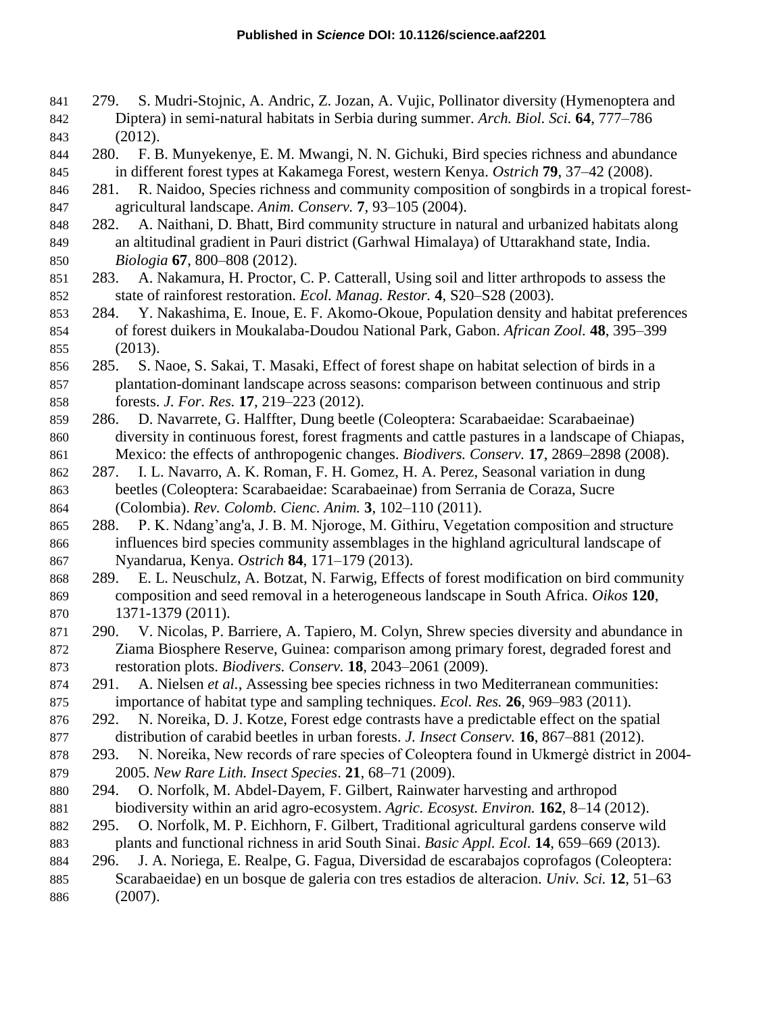- 279. S. Mudri-Stojnic, A. Andric, Z. Jozan, A. Vujic, Pollinator diversity (Hymenoptera and Diptera) in semi-natural habitats in Serbia during summer. *Arch. Biol. Sci.* **64**, 777–786 (2012).
- 280. F. B. Munyekenye, E. M. Mwangi, N. N. Gichuki, Bird species richness and abundance in different forest types at Kakamega Forest, western Kenya. *Ostrich* **79**, 37–42 (2008).
- 281. R. Naidoo, Species richness and community composition of songbirds in a tropical forest-agricultural landscape. *Anim. Conserv.* **7**, 93–105 (2004).
- 282. A. Naithani, D. Bhatt, Bird community structure in natural and urbanized habitats along an altitudinal gradient in Pauri district (Garhwal Himalaya) of Uttarakhand state, India. *Biologia* **67**, 800–808 (2012).
- 283. A. Nakamura, H. Proctor, C. P. Catterall, Using soil and litter arthropods to assess the state of rainforest restoration. *Ecol. Manag. Restor.* **4**, S20–S28 (2003).
- 284. Y. Nakashima, E. Inoue, E. F. Akomo-Okoue, Population density and habitat preferences of forest duikers in Moukalaba-Doudou National Park, Gabon. *African Zool.* **48**, 395–399 (2013).
- 285. S. Naoe, S. Sakai, T. Masaki, Effect of forest shape on habitat selection of birds in a plantation-dominant landscape across seasons: comparison between continuous and strip forests. *J. For. Res.* **17**, 219–223 (2012).
- 286. D. Navarrete, G. Halffter, Dung beetle (Coleoptera: Scarabaeidae: Scarabaeinae) diversity in continuous forest, forest fragments and cattle pastures in a landscape of Chiapas, Mexico: the effects of anthropogenic changes. *Biodivers. Conserv.* **17**, 2869–2898 (2008).
- 287. I. L. Navarro, A. K. Roman, F. H. Gomez, H. A. Perez, Seasonal variation in dung beetles (Coleoptera: Scarabaeidae: Scarabaeinae) from Serrania de Coraza, Sucre (Colombia). *Rev. Colomb. Cienc. Anim.* **3**, 102–110 (2011).
- 288. P. K. Ndang'ang'a, J. B. M. Njoroge, M. Githiru, Vegetation composition and structure influences bird species community assemblages in the highland agricultural landscape of Nyandarua, Kenya. *Ostrich* **84**, 171–179 (2013).
- 289. E. L. Neuschulz, A. Botzat, N. Farwig, Effects of forest modification on bird community composition and seed removal in a heterogeneous landscape in South Africa. *Oikos* **120**, 1371-1379 (2011).
- 290. V. Nicolas, P. Barriere, A. Tapiero, M. Colyn, Shrew species diversity and abundance in Ziama Biosphere Reserve, Guinea: comparison among primary forest, degraded forest and restoration plots. *Biodivers. Conserv.* **18**, 2043–2061 (2009).
- 291. A. Nielsen *et al.*, Assessing bee species richness in two Mediterranean communities: importance of habitat type and sampling techniques. *Ecol. Res.* **26**, 969–983 (2011).
- 292. N. Noreika, D. J. Kotze, Forest edge contrasts have a predictable effect on the spatial distribution of carabid beetles in urban forests. *J. Insect Conserv.* **16**, 867–881 (2012).
- 293. N. Noreika, New records of rare species of Coleoptera found in Ukmergė district in 2004- 2005. *New Rare Lith. Insect Species*. **21**, 68–71 (2009).
- 294. O. Norfolk, M. Abdel-Dayem, F. Gilbert, Rainwater harvesting and arthropod biodiversity within an arid agro-ecosystem. *Agric. Ecosyst. Environ.* **162**, 8–14 (2012).
- 295. O. Norfolk, M. P. Eichhorn, F. Gilbert, Traditional agricultural gardens conserve wild plants and functional richness in arid South Sinai. *Basic Appl. Ecol.* **14**, 659–669 (2013).
- 296. J. A. Noriega, E. Realpe, G. Fagua, Diversidad de escarabajos coprofagos (Coleoptera: Scarabaeidae) en un bosque de galeria con tres estadios de alteracion. *Univ. Sci.* **12**, 51–63 (2007).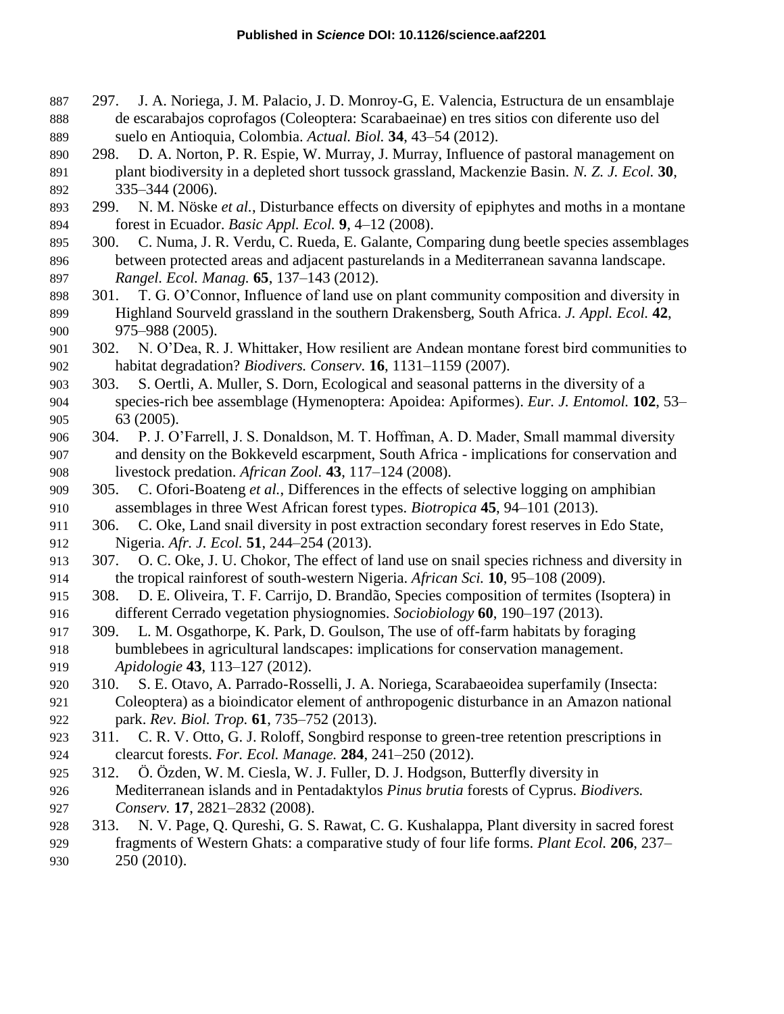- 297. J. A. Noriega, J. M. Palacio, J. D. Monroy-G, E. Valencia, Estructura de un ensamblaje de escarabajos coprofagos (Coleoptera: Scarabaeinae) en tres sitios con diferente uso del suelo en Antioquia, Colombia. *Actual. Biol.* **34**, 43–54 (2012).
- 298. D. A. Norton, P. R. Espie, W. Murray, J. Murray, Influence of pastoral management on plant biodiversity in a depleted short tussock grassland, Mackenzie Basin. *N. Z. J. Ecol.* **30**, 335–344 (2006).
- 299. N. M. Nöske *et al.*, Disturbance effects on diversity of epiphytes and moths in a montane forest in Ecuador. *Basic Appl. Ecol.* **9**, 4–12 (2008).
- 300. C. Numa, J. R. Verdu, C. Rueda, E. Galante, Comparing dung beetle species assemblages between protected areas and adjacent pasturelands in a Mediterranean savanna landscape. *Rangel. Ecol. Manag.* **65**, 137–143 (2012).
- 301. T. G. O'Connor, Influence of land use on plant community composition and diversity in Highland Sourveld grassland in the southern Drakensberg, South Africa. *J. Appl. Ecol.* **42**, 975–988 (2005).
- 302. N. O'Dea, R. J. Whittaker, How resilient are Andean montane forest bird communities to habitat degradation? *Biodivers. Conserv.* **16**, 1131–1159 (2007).
- 303. S. Oertli, A. Muller, S. Dorn, Ecological and seasonal patterns in the diversity of a species-rich bee assemblage (Hymenoptera: Apoidea: Apiformes). *Eur. J. Entomol.* **102**, 53– 63 (2005).
- 304. P. J. O'Farrell, J. S. Donaldson, M. T. Hoffman, A. D. Mader, Small mammal diversity and density on the Bokkeveld escarpment, South Africa - implications for conservation and livestock predation. *African Zool.* **43**, 117–124 (2008).
- 305. C. Ofori-Boateng *et al.*, Differences in the effects of selective logging on amphibian assemblages in three West African forest types. *Biotropica* **45**, 94–101 (2013).
- 306. C. Oke, Land snail diversity in post extraction secondary forest reserves in Edo State, Nigeria. *Afr. J. Ecol.* **51**, 244–254 (2013).
- 307. O. C. Oke, J. U. Chokor, The effect of land use on snail species richness and diversity in the tropical rainforest of south-western Nigeria. *African Sci.* **10**, 95–108 (2009).
- 308. D. E. Oliveira, T. F. Carrijo, D. Brandão, Species composition of termites (Isoptera) in different Cerrado vegetation physiognomies. *Sociobiology* **60**, 190–197 (2013).
- 309. L. M. Osgathorpe, K. Park, D. Goulson, The use of off-farm habitats by foraging bumblebees in agricultural landscapes: implications for conservation management. *Apidologie* **43**, 113–127 (2012).
- 310. S. E. Otavo, A. Parrado-Rosselli, J. A. Noriega, Scarabaeoidea superfamily (Insecta: Coleoptera) as a bioindicator element of anthropogenic disturbance in an Amazon national park. *Rev. Biol. Trop.* **61**, 735–752 (2013).
- 311. C. R. V. Otto, G. J. Roloff, Songbird response to green-tree retention prescriptions in clearcut forests. *For. Ecol. Manage.* **284**, 241–250 (2012).
- 312. Ö. Özden, W. M. Ciesla, W. J. Fuller, D. J. Hodgson, Butterfly diversity in Mediterranean islands and in Pentadaktylos *Pinus brutia* forests of Cyprus. *Biodivers. Conserv.* **17**, 2821–2832 (2008).
- 313. N. V. Page, Q. Qureshi, G. S. Rawat, C. G. Kushalappa, Plant diversity in sacred forest fragments of Western Ghats: a comparative study of four life forms. *Plant Ecol.* **206**, 237–
- 250 (2010).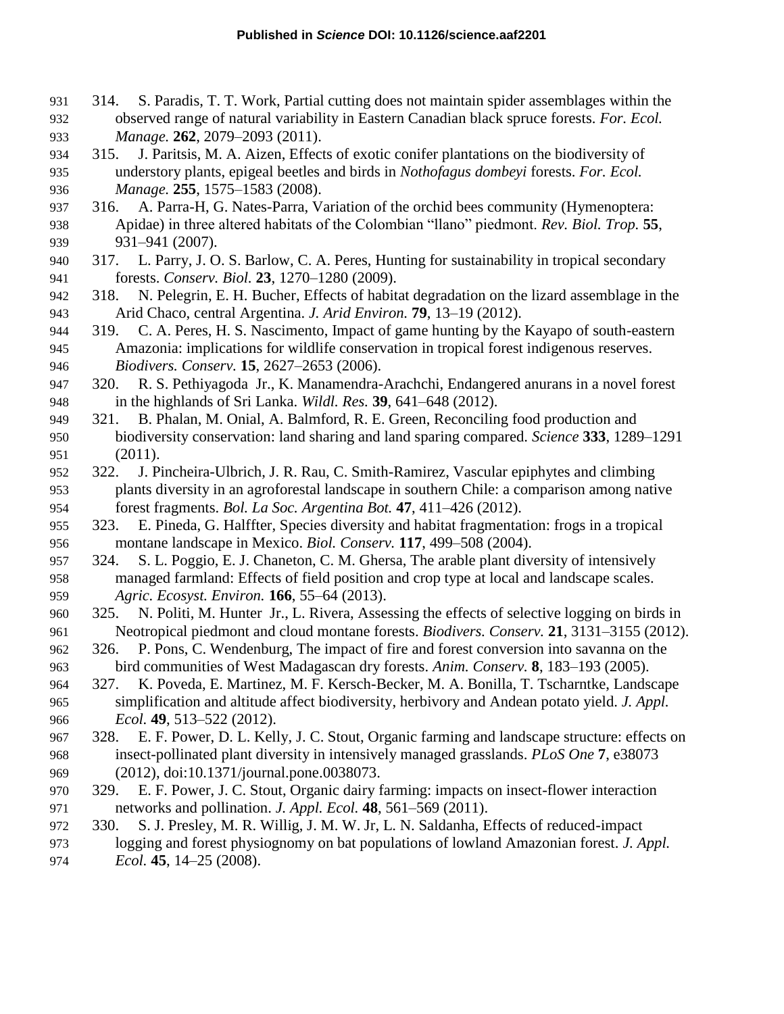- 314. S. Paradis, T. T. Work, Partial cutting does not maintain spider assemblages within the observed range of natural variability in Eastern Canadian black spruce forests. *For. Ecol. Manage.* **262**, 2079–2093 (2011).
- 315. J. Paritsis, M. A. Aizen, Effects of exotic conifer plantations on the biodiversity of understory plants, epigeal beetles and birds in *Nothofagus dombeyi* forests. *For. Ecol. Manage.* **255**, 1575–1583 (2008).
- 316. A. Parra-H, G. Nates-Parra, Variation of the orchid bees community (Hymenoptera: Apidae) in three altered habitats of the Colombian "llano" piedmont. *Rev. Biol. Trop.* **55**, 931–941 (2007).
- 317. L. Parry, J. O. S. Barlow, C. A. Peres, Hunting for sustainability in tropical secondary forests. *Conserv. Biol.* **23**, 1270–1280 (2009).
- 318. N. Pelegrin, E. H. Bucher, Effects of habitat degradation on the lizard assemblage in the Arid Chaco, central Argentina. *J. Arid Environ.* **79**, 13–19 (2012).
- 319. C. A. Peres, H. S. Nascimento, Impact of game hunting by the Kayapo of south-eastern Amazonia: implications for wildlife conservation in tropical forest indigenous reserves. *Biodivers. Conserv.* **15**, 2627–2653 (2006).
- 320. R. S. Pethiyagoda Jr., K. Manamendra-Arachchi, Endangered anurans in a novel forest in the highlands of Sri Lanka. *Wildl. Res.* **39**, 641–648 (2012).
- 321. B. Phalan, M. Onial, A. Balmford, R. E. Green, Reconciling food production and biodiversity conservation: land sharing and land sparing compared. *Science* **333**, 1289–1291 (2011).
- 322. J. Pincheira-Ulbrich, J. R. Rau, C. Smith-Ramirez, Vascular epiphytes and climbing plants diversity in an agroforestal landscape in southern Chile: a comparison among native forest fragments. *Bol. La Soc. Argentina Bot.* **47**, 411–426 (2012).
- 323. E. Pineda, G. Halffter, Species diversity and habitat fragmentation: frogs in a tropical montane landscape in Mexico. *Biol. Conserv.* **117**, 499–508 (2004).
- 324. S. L. Poggio, E. J. Chaneton, C. M. Ghersa, The arable plant diversity of intensively managed farmland: Effects of field position and crop type at local and landscape scales. *Agric. Ecosyst. Environ.* **166**, 55–64 (2013).
- 325. N. Politi, M. Hunter Jr., L. Rivera, Assessing the effects of selective logging on birds in Neotropical piedmont and cloud montane forests. *Biodivers. Conserv.* **21**, 3131–3155 (2012).
- 326. P. Pons, C. Wendenburg, The impact of fire and forest conversion into savanna on the bird communities of West Madagascan dry forests. *Anim. Conserv.* **8**, 183–193 (2005).
- 327. K. Poveda, E. Martinez, M. F. Kersch-Becker, M. A. Bonilla, T. Tscharntke, Landscape simplification and altitude affect biodiversity, herbivory and Andean potato yield. *J. Appl. Ecol.* **49**, 513–522 (2012).
- 328. E. F. Power, D. L. Kelly, J. C. Stout, Organic farming and landscape structure: effects on insect-pollinated plant diversity in intensively managed grasslands. *PLoS One* **7**, e38073 (2012), doi:10.1371/journal.pone.0038073.
- 329. E. F. Power, J. C. Stout, Organic dairy farming: impacts on insect-flower interaction networks and pollination. *J. Appl. Ecol.* **48**, 561–569 (2011).
- 330. S. J. Presley, M. R. Willig, J. M. W. Jr, L. N. Saldanha, Effects of reduced-impact logging and forest physiognomy on bat populations of lowland Amazonian forest. *J. Appl. Ecol.* **45**, 14–25 (2008).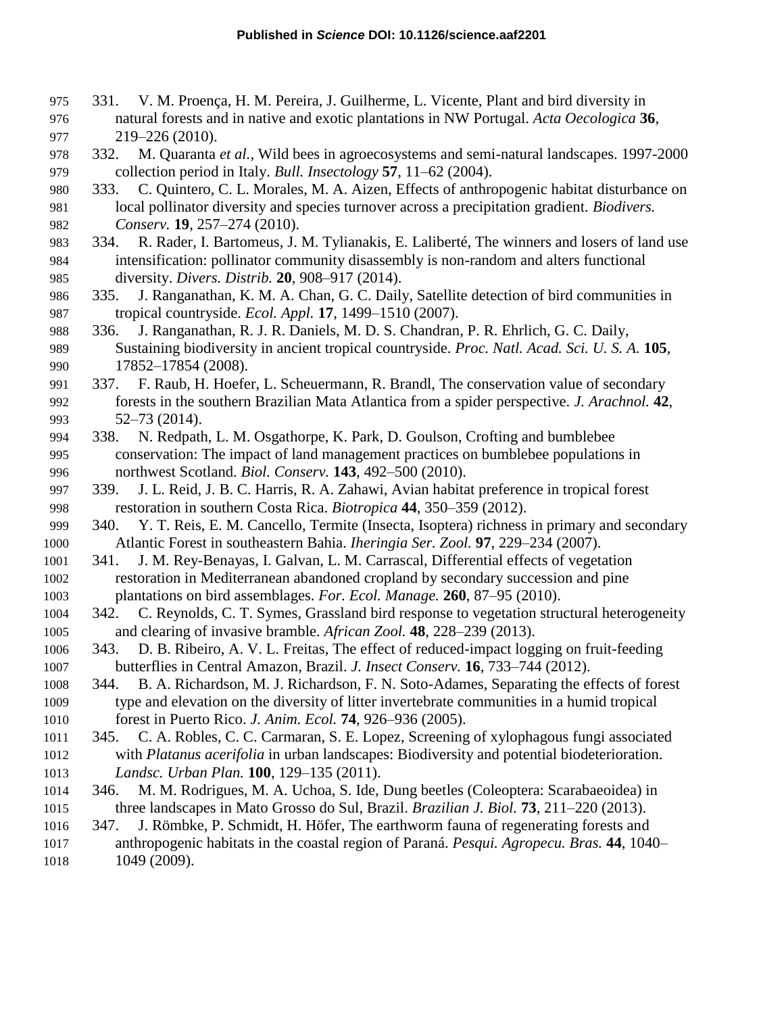- 331. V. M. Proença, H. M. Pereira, J. Guilherme, L. Vicente, Plant and bird diversity in natural forests and in native and exotic plantations in NW Portugal. *Acta Oecologica* **36**, 219–226 (2010).
- 332. M. Quaranta *et al.*, Wild bees in agroecosystems and semi-natural landscapes. 1997-2000 collection period in Italy. *Bull. Insectology* **57**, 11–62 (2004).
- 333. C. Quintero, C. L. Morales, M. A. Aizen, Effects of anthropogenic habitat disturbance on local pollinator diversity and species turnover across a precipitation gradient. *Biodivers. Conserv.* **19**, 257–274 (2010).
- 334. R. Rader, I. Bartomeus, J. M. Tylianakis, E. Laliberté, The winners and losers of land use intensification: pollinator community disassembly is non-random and alters functional diversity. *Divers. Distrib.* **20**, 908–917 (2014).
- 335. J. Ranganathan, K. M. A. Chan, G. C. Daily, Satellite detection of bird communities in tropical countryside. *Ecol. Appl.* **17**, 1499–1510 (2007).
- 336. J. Ranganathan, R. J. R. Daniels, M. D. S. Chandran, P. R. Ehrlich, G. C. Daily, Sustaining biodiversity in ancient tropical countryside. *Proc. Natl. Acad. Sci. U. S. A.* **105**, 990 17852–17854 (2008).
- 337. F. Raub, H. Hoefer, L. Scheuermann, R. Brandl, The conservation value of secondary forests in the southern Brazilian Mata Atlantica from a spider perspective. *J. Arachnol.* **42**, 52–73 (2014).
- 338. N. Redpath, L. M. Osgathorpe, K. Park, D. Goulson, Crofting and bumblebee conservation: The impact of land management practices on bumblebee populations in northwest Scotland. *Biol. Conserv.* **143**, 492–500 (2010).
- 339. J. L. Reid, J. B. C. Harris, R. A. Zahawi, Avian habitat preference in tropical forest restoration in southern Costa Rica. *Biotropica* **44**, 350–359 (2012).
- 340. Y. T. Reis, E. M. Cancello, Termite (Insecta, Isoptera) richness in primary and secondary Atlantic Forest in southeastern Bahia. *Iheringia Ser. Zool.* **97**, 229–234 (2007).
- 341. J. M. Rey-Benayas, I. Galvan, L. M. Carrascal, Differential effects of vegetation restoration in Mediterranean abandoned cropland by secondary succession and pine plantations on bird assemblages. *For. Ecol. Manage.* **260**, 87–95 (2010).
- 342. C. Reynolds, C. T. Symes, Grassland bird response to vegetation structural heterogeneity and clearing of invasive bramble. *African Zool.* **48**, 228–239 (2013).
- 343. D. B. Ribeiro, A. V. L. Freitas, The effect of reduced-impact logging on fruit-feeding butterflies in Central Amazon, Brazil. *J. Insect Conserv.* **16**, 733–744 (2012).
- 344. B. A. Richardson, M. J. Richardson, F. N. Soto-Adames, Separating the effects of forest type and elevation on the diversity of litter invertebrate communities in a humid tropical forest in Puerto Rico. *J. Anim. Ecol.* **74**, 926–936 (2005).
- 345. C. A. Robles, C. C. Carmaran, S. E. Lopez, Screening of xylophagous fungi associated with *Platanus acerifolia* in urban landscapes: Biodiversity and potential biodeterioration. *Landsc. Urban Plan.* **100**, 129–135 (2011).
- 346. M. M. Rodrigues, M. A. Uchoa, S. Ide, Dung beetles (Coleoptera: Scarabaeoidea) in three landscapes in Mato Grosso do Sul, Brazil. *Brazilian J. Biol.* **73**, 211–220 (2013).
- 347. J. Römbke, P. Schmidt, H. Höfer, The earthworm fauna of regenerating forests and anthropogenic habitats in the coastal region of Paraná. *Pesqui. Agropecu. Bras.* **44**, 1040– 1049 (2009).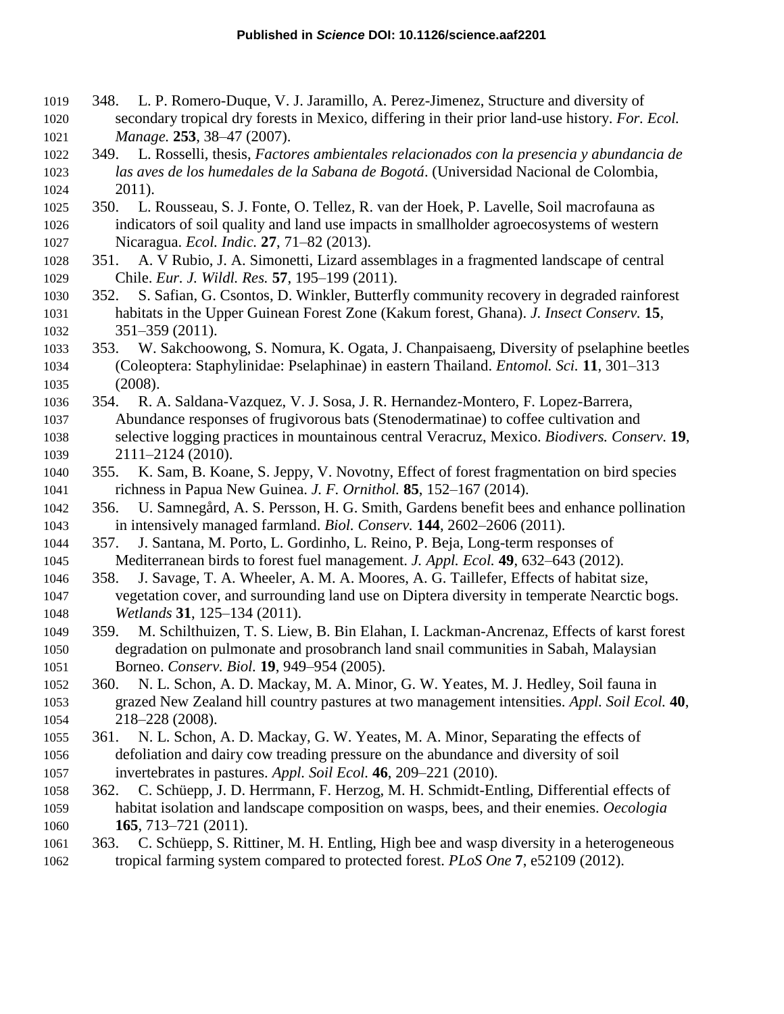- 348. L. P. Romero-Duque, V. J. Jaramillo, A. Perez-Jimenez, Structure and diversity of secondary tropical dry forests in Mexico, differing in their prior land-use history. *For. Ecol. Manage.* **253**, 38–47 (2007).
- 349. L. Rosselli, thesis, *Factores ambientales relacionados con la presencia y abundancia de las aves de los humedales de la Sabana de Bogotá*. (Universidad Nacional de Colombia, 2011).
- 350. L. Rousseau, S. J. Fonte, O. Tellez, R. van der Hoek, P. Lavelle, Soil macrofauna as indicators of soil quality and land use impacts in smallholder agroecosystems of western Nicaragua. *Ecol. Indic.* **27**, 71–82 (2013).
- 351. A. V Rubio, J. A. Simonetti, Lizard assemblages in a fragmented landscape of central Chile. *Eur. J. Wildl. Res.* **57**, 195–199 (2011).
- 352. S. Safian, G. Csontos, D. Winkler, Butterfly community recovery in degraded rainforest habitats in the Upper Guinean Forest Zone (Kakum forest, Ghana). *J. Insect Conserv.* **15**, 351–359 (2011).
- 353. W. Sakchoowong, S. Nomura, K. Ogata, J. Chanpaisaeng, Diversity of pselaphine beetles (Coleoptera: Staphylinidae: Pselaphinae) in eastern Thailand. *Entomol. Sci.* **11**, 301–313 (2008).
- 354. R. A. Saldana-Vazquez, V. J. Sosa, J. R. Hernandez-Montero, F. Lopez-Barrera, Abundance responses of frugivorous bats (Stenodermatinae) to coffee cultivation and selective logging practices in mountainous central Veracruz, Mexico. *Biodivers. Conserv.* **19**, 2111–2124 (2010).
- 355. K. Sam, B. Koane, S. Jeppy, V. Novotny, Effect of forest fragmentation on bird species richness in Papua New Guinea. *J. F. Ornithol.* **85**, 152–167 (2014).
- 356. U. Samnegård, A. S. Persson, H. G. Smith, Gardens benefit bees and enhance pollination in intensively managed farmland. *Biol. Conserv.* **144**, 2602–2606 (2011).
- 357. J. Santana, M. Porto, L. Gordinho, L. Reino, P. Beja, Long-term responses of Mediterranean birds to forest fuel management. *J. Appl. Ecol.* **49**, 632–643 (2012).
- 358. J. Savage, T. A. Wheeler, A. M. A. Moores, A. G. Taillefer, Effects of habitat size, vegetation cover, and surrounding land use on Diptera diversity in temperate Nearctic bogs. *Wetlands* **31**, 125–134 (2011).
- 359. M. Schilthuizen, T. S. Liew, B. Bin Elahan, I. Lackman-Ancrenaz, Effects of karst forest degradation on pulmonate and prosobranch land snail communities in Sabah, Malaysian Borneo. *Conserv. Biol.* **19**, 949–954 (2005).
- 360. N. L. Schon, A. D. Mackay, M. A. Minor, G. W. Yeates, M. J. Hedley, Soil fauna in grazed New Zealand hill country pastures at two management intensities. *Appl. Soil Ecol.* **40**, 218–228 (2008).
- 361. N. L. Schon, A. D. Mackay, G. W. Yeates, M. A. Minor, Separating the effects of defoliation and dairy cow treading pressure on the abundance and diversity of soil invertebrates in pastures. *Appl. Soil Ecol.* **46**, 209–221 (2010).
- 362. C. Schüepp, J. D. Herrmann, F. Herzog, M. H. Schmidt-Entling, Differential effects of habitat isolation and landscape composition on wasps, bees, and their enemies. *Oecologia* **165**, 713–721 (2011).
- 363. C. Schüepp, S. Rittiner, M. H. Entling, High bee and wasp diversity in a heterogeneous tropical farming system compared to protected forest. *PLoS One* **7**, e52109 (2012).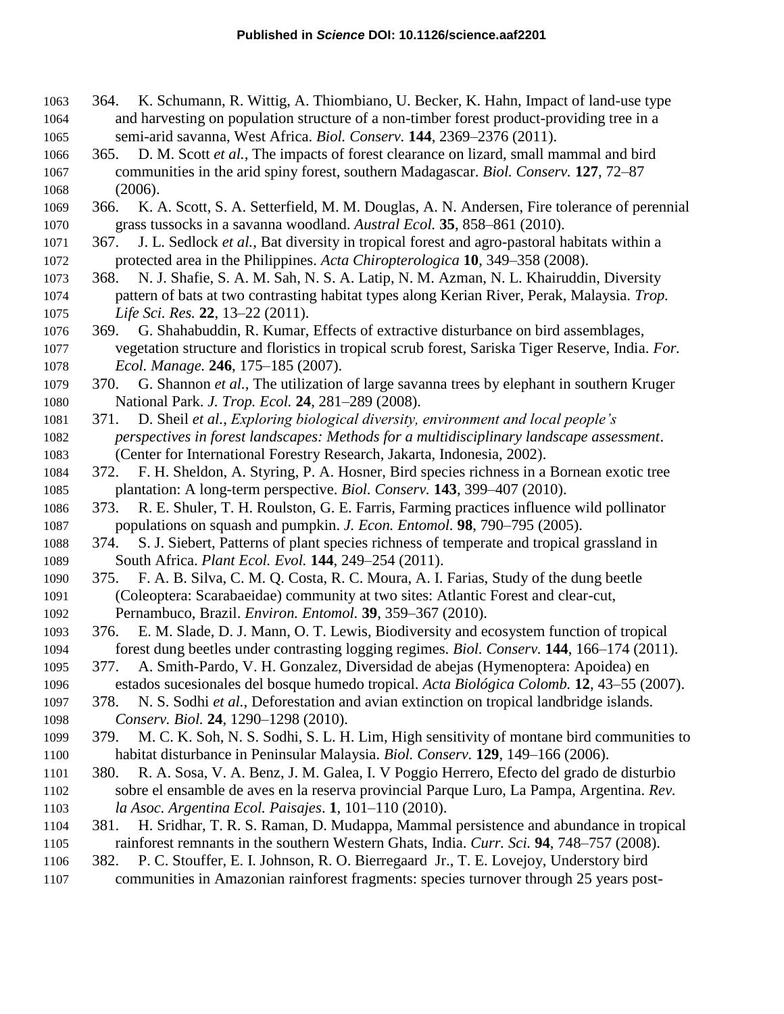- 364. K. Schumann, R. Wittig, A. Thiombiano, U. Becker, K. Hahn, Impact of land-use type and harvesting on population structure of a non-timber forest product-providing tree in a semi-arid savanna, West Africa. *Biol. Conserv.* **144**, 2369–2376 (2011).
- 365. D. M. Scott *et al.*, The impacts of forest clearance on lizard, small mammal and bird communities in the arid spiny forest, southern Madagascar. *Biol. Conserv.* **127**, 72–87 (2006).
- 366. K. A. Scott, S. A. Setterfield, M. M. Douglas, A. N. Andersen, Fire tolerance of perennial grass tussocks in a savanna woodland. *Austral Ecol.* **35**, 858–861 (2010).
- 367. J. L. Sedlock *et al.*, Bat diversity in tropical forest and agro-pastoral habitats within a protected area in the Philippines. *Acta Chiropterologica* **10**, 349–358 (2008).
- 368. N. J. Shafie, S. A. M. Sah, N. S. A. Latip, N. M. Azman, N. L. Khairuddin, Diversity pattern of bats at two contrasting habitat types along Kerian River, Perak, Malaysia. *Trop. Life Sci. Res.* **22**, 13–22 (2011).
- 369. G. Shahabuddin, R. Kumar, Effects of extractive disturbance on bird assemblages, vegetation structure and floristics in tropical scrub forest, Sariska Tiger Reserve, India. *For. Ecol. Manage.* **246**, 175–185 (2007).
- 370. G. Shannon *et al.*, The utilization of large savanna trees by elephant in southern Kruger National Park. *J. Trop. Ecol.* **24**, 281–289 (2008).
- 371. D. Sheil *et al.*, *Exploring biological diversity, environment and local people's perspectives in forest landscapes: Methods for a multidisciplinary landscape assessment*. (Center for International Forestry Research, Jakarta, Indonesia, 2002).
- 372. F. H. Sheldon, A. Styring, P. A. Hosner, Bird species richness in a Bornean exotic tree plantation: A long-term perspective. *Biol. Conserv.* **143**, 399–407 (2010).
- 373. R. E. Shuler, T. H. Roulston, G. E. Farris, Farming practices influence wild pollinator populations on squash and pumpkin. *J. Econ. Entomol.* **98**, 790–795 (2005).
- 374. S. J. Siebert, Patterns of plant species richness of temperate and tropical grassland in South Africa. *Plant Ecol. Evol.* **144**, 249–254 (2011).
- 375. F. A. B. Silva, C. M. Q. Costa, R. C. Moura, A. I. Farias, Study of the dung beetle (Coleoptera: Scarabaeidae) community at two sites: Atlantic Forest and clear-cut, Pernambuco, Brazil. *Environ. Entomol.* **39**, 359–367 (2010).
- 376. E. M. Slade, D. J. Mann, O. T. Lewis, Biodiversity and ecosystem function of tropical forest dung beetles under contrasting logging regimes. *Biol. Conserv.* **144**, 166–174 (2011).
- 377. A. Smith-Pardo, V. H. Gonzalez, Diversidad de abejas (Hymenoptera: Apoidea) en estados sucesionales del bosque humedo tropical. *Acta Biológica Colomb.* **12**, 43–55 (2007).
- 378. N. S. Sodhi *et al.*, Deforestation and avian extinction on tropical landbridge islands. *Conserv. Biol.* **24**, 1290–1298 (2010).
- 379. M. C. K. Soh, N. S. Sodhi, S. L. H. Lim, High sensitivity of montane bird communities to habitat disturbance in Peninsular Malaysia. *Biol. Conserv.* **129**, 149–166 (2006).
- 380. R. A. Sosa, V. A. Benz, J. M. Galea, I. V Poggio Herrero, Efecto del grado de disturbio sobre el ensamble de aves en la reserva provincial Parque Luro, La Pampa, Argentina. *Rev. la Asoc. Argentina Ecol. Paisajes*. **1**, 101–110 (2010).
- 381. H. Sridhar, T. R. S. Raman, D. Mudappa, Mammal persistence and abundance in tropical rainforest remnants in the southern Western Ghats, India. *Curr. Sci.* **94**, 748–757 (2008).
- 382. P. C. Stouffer, E. I. Johnson, R. O. Bierregaard Jr., T. E. Lovejoy, Understory bird
- communities in Amazonian rainforest fragments: species turnover through 25 years post-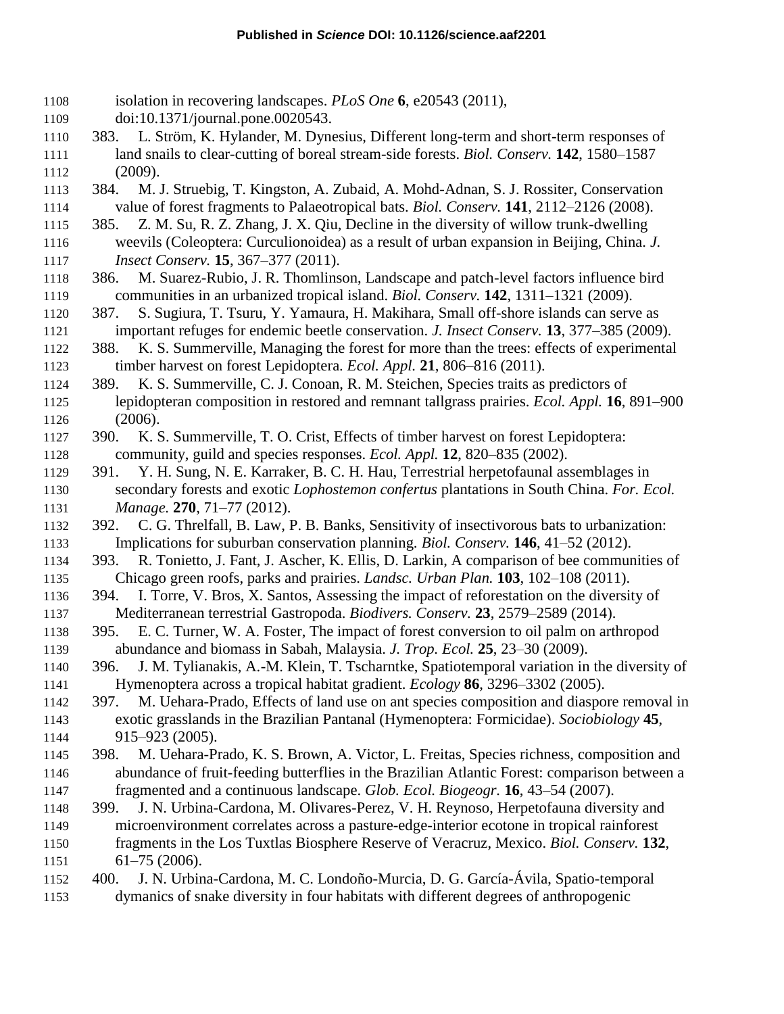isolation in recovering landscapes. *PLoS One* **6**, e20543 (2011), doi:10.1371/journal.pone.0020543. 383. L. Ström, K. Hylander, M. Dynesius, Different long-term and short-term responses of land snails to clear-cutting of boreal stream-side forests. *Biol. Conserv.* **142**, 1580–1587 (2009). 384. M. J. Struebig, T. Kingston, A. Zubaid, A. Mohd-Adnan, S. J. Rossiter, Conservation value of forest fragments to Palaeotropical bats. *Biol. Conserv.* **141**, 2112–2126 (2008). 385. Z. M. Su, R. Z. Zhang, J. X. Qiu, Decline in the diversity of willow trunk-dwelling weevils (Coleoptera: Curculionoidea) as a result of urban expansion in Beijing, China. *J. Insect Conserv.* **15**, 367–377 (2011). 386. M. Suarez-Rubio, J. R. Thomlinson, Landscape and patch-level factors influence bird communities in an urbanized tropical island. *Biol. Conserv.* **142**, 1311–1321 (2009). 387. S. Sugiura, T. Tsuru, Y. Yamaura, H. Makihara, Small off-shore islands can serve as important refuges for endemic beetle conservation. *J. Insect Conserv.* **13**, 377–385 (2009). 388. K. S. Summerville, Managing the forest for more than the trees: effects of experimental timber harvest on forest Lepidoptera. *Ecol. Appl.* **21**, 806–816 (2011). 389. K. S. Summerville, C. J. Conoan, R. M. Steichen, Species traits as predictors of lepidopteran composition in restored and remnant tallgrass prairies. *Ecol. Appl.* **16**, 891–900 (2006). 390. K. S. Summerville, T. O. Crist, Effects of timber harvest on forest Lepidoptera: community, guild and species responses. *Ecol. Appl.* **12**, 820–835 (2002). 391. Y. H. Sung, N. E. Karraker, B. C. H. Hau, Terrestrial herpetofaunal assemblages in secondary forests and exotic *Lophostemon confertus* plantations in South China. *For. Ecol. Manage.* **270**, 71–77 (2012). 392. C. G. Threlfall, B. Law, P. B. Banks, Sensitivity of insectivorous bats to urbanization: Implications for suburban conservation planning. *Biol. Conserv.* **146**, 41–52 (2012). 393. R. Tonietto, J. Fant, J. Ascher, K. Ellis, D. Larkin, A comparison of bee communities of Chicago green roofs, parks and prairies. *Landsc. Urban Plan.* **103**, 102–108 (2011). 394. I. Torre, V. Bros, X. Santos, Assessing the impact of reforestation on the diversity of Mediterranean terrestrial Gastropoda. *Biodivers. Conserv.* **23**, 2579–2589 (2014). 395. E. C. Turner, W. A. Foster, The impact of forest conversion to oil palm on arthropod abundance and biomass in Sabah, Malaysia. *J. Trop. Ecol.* **25**, 23–30 (2009). 396. J. M. Tylianakis, A.-M. Klein, T. Tscharntke, Spatiotemporal variation in the diversity of Hymenoptera across a tropical habitat gradient. *Ecology* **86**, 3296–3302 (2005). 397. M. Uehara-Prado, Effects of land use on ant species composition and diaspore removal in exotic grasslands in the Brazilian Pantanal (Hymenoptera: Formicidae). *Sociobiology* **45**, 915–923 (2005). 398. M. Uehara-Prado, K. S. Brown, A. Victor, L. Freitas, Species richness, composition and abundance of fruit-feeding butterflies in the Brazilian Atlantic Forest: comparison between a fragmented and a continuous landscape. *Glob. Ecol. Biogeogr.* **16**, 43–54 (2007). 399. J. N. Urbina-Cardona, M. Olivares-Perez, V. H. Reynoso, Herpetofauna diversity and microenvironment correlates across a pasture-edge-interior ecotone in tropical rainforest fragments in the Los Tuxtlas Biosphere Reserve of Veracruz, Mexico. *Biol. Conserv.* **132**, 61–75 (2006). 400. J. N. Urbina-Cardona, M. C. Londoño-Murcia, D. G. García-Ávila, Spatio-temporal dymanics of snake diversity in four habitats with different degrees of anthropogenic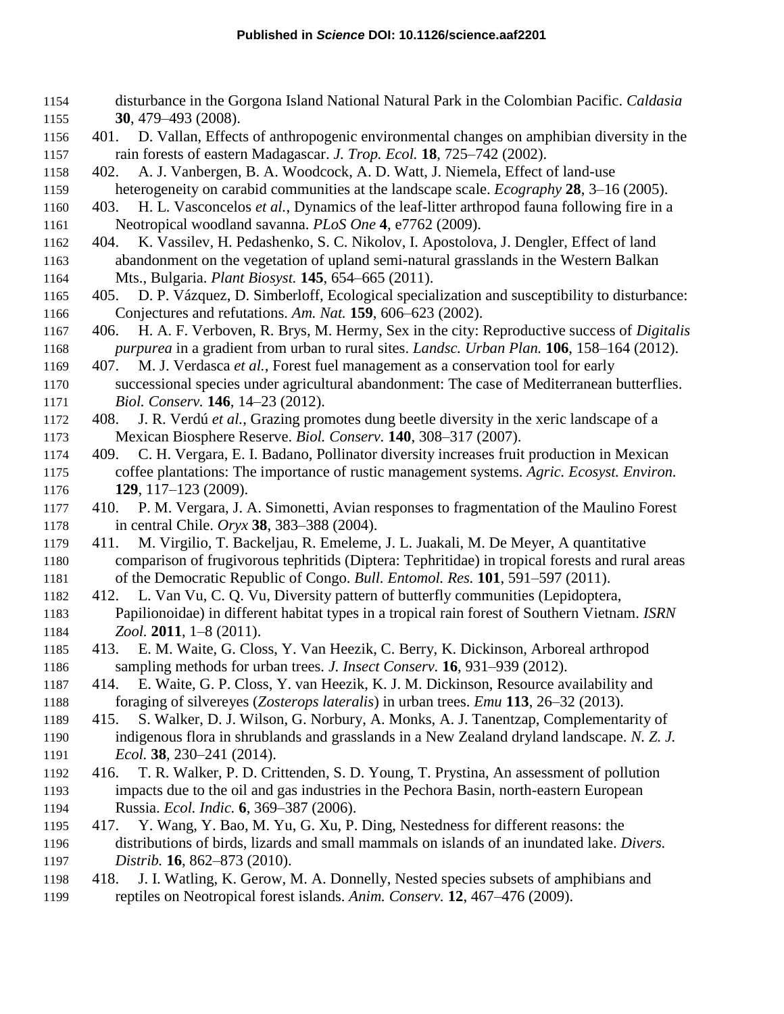- disturbance in the Gorgona Island National Natural Park in the Colombian Pacific. *Caldasia* **30**, 479–493 (2008).
- 401. D. Vallan, Effects of anthropogenic environmental changes on amphibian diversity in the rain forests of eastern Madagascar. *J. Trop. Ecol.* **18**, 725–742 (2002).
- 402. A. J. Vanbergen, B. A. Woodcock, A. D. Watt, J. Niemela, Effect of land-use heterogeneity on carabid communities at the landscape scale. *Ecography* **28**, 3–16 (2005).
- 403. H. L. Vasconcelos *et al.*, Dynamics of the leaf-litter arthropod fauna following fire in a Neotropical woodland savanna. *PLoS One* **4**, e7762 (2009).
- 404. K. Vassilev, H. Pedashenko, S. C. Nikolov, I. Apostolova, J. Dengler, Effect of land abandonment on the vegetation of upland semi-natural grasslands in the Western Balkan Mts., Bulgaria. *Plant Biosyst.* **145**, 654–665 (2011).
- 405. D. P. Vázquez, D. Simberloff, Ecological specialization and susceptibility to disturbance: Conjectures and refutations. *Am. Nat.* **159**, 606–623 (2002).
- 406. H. A. F. Verboven, R. Brys, M. Hermy, Sex in the city: Reproductive success of *Digitalis purpurea* in a gradient from urban to rural sites. *Landsc. Urban Plan.* **106**, 158–164 (2012).
- 407. M. J. Verdasca *et al.*, Forest fuel management as a conservation tool for early successional species under agricultural abandonment: The case of Mediterranean butterflies. *Biol. Conserv.* **146**, 14–23 (2012).
- 408. J. R. Verdú *et al.*, Grazing promotes dung beetle diversity in the xeric landscape of a Mexican Biosphere Reserve. *Biol. Conserv.* **140**, 308–317 (2007).
- 409. C. H. Vergara, E. I. Badano, Pollinator diversity increases fruit production in Mexican coffee plantations: The importance of rustic management systems. *Agric. Ecosyst. Environ.* **129**, 117–123 (2009).
- 410. P. M. Vergara, J. A. Simonetti, Avian responses to fragmentation of the Maulino Forest in central Chile. *Oryx* **38**, 383–388 (2004).
- 411. M. Virgilio, T. Backeljau, R. Emeleme, J. L. Juakali, M. De Meyer, A quantitative comparison of frugivorous tephritids (Diptera: Tephritidae) in tropical forests and rural areas of the Democratic Republic of Congo. *Bull. Entomol. Res.* **101**, 591–597 (2011).
- 412. L. Van Vu, C. Q. Vu, Diversity pattern of butterfly communities (Lepidoptera, Papilionoidae) in different habitat types in a tropical rain forest of Southern Vietnam. *ISRN Zool.* **2011**, 1–8 (2011).
- 413. E. M. Waite, G. Closs, Y. Van Heezik, C. Berry, K. Dickinson, Arboreal arthropod sampling methods for urban trees. *J. Insect Conserv.* **16**, 931–939 (2012).
- 414. E. Waite, G. P. Closs, Y. van Heezik, K. J. M. Dickinson, Resource availability and foraging of silvereyes (*Zosterops lateralis*) in urban trees. *Emu* **113**, 26–32 (2013).
- 415. S. Walker, D. J. Wilson, G. Norbury, A. Monks, A. J. Tanentzap, Complementarity of indigenous flora in shrublands and grasslands in a New Zealand dryland landscape. *N. Z. J. Ecol.* **38**, 230–241 (2014).
- 416. T. R. Walker, P. D. Crittenden, S. D. Young, T. Prystina, An assessment of pollution impacts due to the oil and gas industries in the Pechora Basin, north-eastern European Russia. *Ecol. Indic.* **6**, 369–387 (2006).
- 417. Y. Wang, Y. Bao, M. Yu, G. Xu, P. Ding, Nestedness for different reasons: the distributions of birds, lizards and small mammals on islands of an inundated lake. *Divers. Distrib.* **16**, 862–873 (2010).
- 418. J. I. Watling, K. Gerow, M. A. Donnelly, Nested species subsets of amphibians and reptiles on Neotropical forest islands. *Anim. Conserv.* **12**, 467–476 (2009).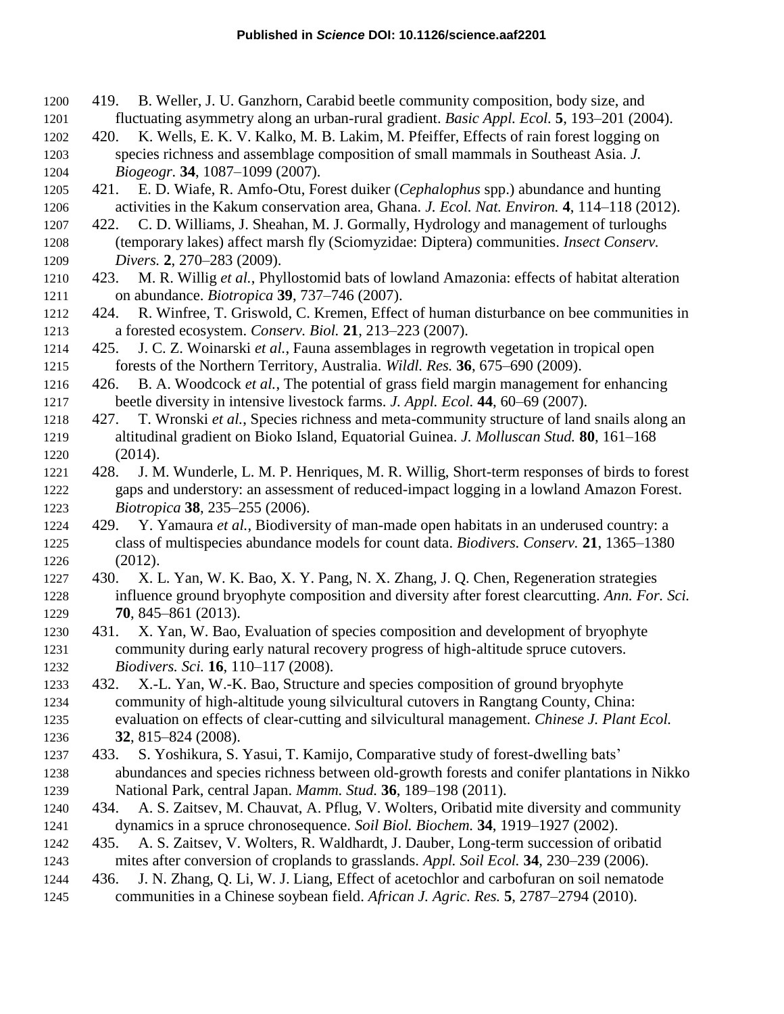- 419. B. Weller, J. U. Ganzhorn, Carabid beetle community composition, body size, and fluctuating asymmetry along an urban-rural gradient. *Basic Appl. Ecol.* **5**, 193–201 (2004).
- 420. K. Wells, E. K. V. Kalko, M. B. Lakim, M. Pfeiffer, Effects of rain forest logging on species richness and assemblage composition of small mammals in Southeast Asia. *J. Biogeogr.* **34**, 1087–1099 (2007).
- 421. E. D. Wiafe, R. Amfo-Otu, Forest duiker (*Cephalophus* spp.) abundance and hunting activities in the Kakum conservation area, Ghana. *J. Ecol. Nat. Environ.* **4**, 114–118 (2012).
- 422. C. D. Williams, J. Sheahan, M. J. Gormally, Hydrology and management of turloughs (temporary lakes) affect marsh fly (Sciomyzidae: Diptera) communities. *Insect Conserv. Divers.* **2**, 270–283 (2009).
- 423. M. R. Willig *et al.*, Phyllostomid bats of lowland Amazonia: effects of habitat alteration on abundance. *Biotropica* **39**, 737–746 (2007).
- 424. R. Winfree, T. Griswold, C. Kremen, Effect of human disturbance on bee communities in a forested ecosystem. *Conserv. Biol.* **21**, 213–223 (2007).
- 425. J. C. Z. Woinarski *et al.*, Fauna assemblages in regrowth vegetation in tropical open forests of the Northern Territory, Australia. *Wildl. Res.* **36**, 675–690 (2009).
- 426. B. A. Woodcock *et al.*, The potential of grass field margin management for enhancing beetle diversity in intensive livestock farms. *J. Appl. Ecol.* **44**, 60–69 (2007).
- 427. T. Wronski *et al.*, Species richness and meta-community structure of land snails along an altitudinal gradient on Bioko Island, Equatorial Guinea. *J. Molluscan Stud.* **80**, 161–168 (2014).
- 428. J. M. Wunderle, L. M. P. Henriques, M. R. Willig, Short-term responses of birds to forest gaps and understory: an assessment of reduced-impact logging in a lowland Amazon Forest. *Biotropica* **38**, 235–255 (2006).
- 429. Y. Yamaura *et al.*, Biodiversity of man-made open habitats in an underused country: a class of multispecies abundance models for count data. *Biodivers. Conserv.* **21**, 1365–1380 (2012).
- 430. X. L. Yan, W. K. Bao, X. Y. Pang, N. X. Zhang, J. Q. Chen, Regeneration strategies influence ground bryophyte composition and diversity after forest clearcutting. *Ann. For. Sci.* **70**, 845–861 (2013).
- 431. X. Yan, W. Bao, Evaluation of species composition and development of bryophyte community during early natural recovery progress of high-altitude spruce cutovers. *Biodivers. Sci.* **16**, 110–117 (2008).
- 432. X.-L. Yan, W.-K. Bao, Structure and species composition of ground bryophyte community of high-altitude young silvicultural cutovers in Rangtang County, China: evaluation on effects of clear-cutting and silvicultural management. *Chinese J. Plant Ecol.*  **32**, 815–824 (2008).
- 433. S. Yoshikura, S. Yasui, T. Kamijo, Comparative study of forest-dwelling bats' abundances and species richness between old-growth forests and conifer plantations in Nikko National Park, central Japan. *Mamm. Stud.* **36**, 189–198 (2011).
- 434. A. S. Zaitsev, M. Chauvat, A. Pflug, V. Wolters, Oribatid mite diversity and community dynamics in a spruce chronosequence. *Soil Biol. Biochem.* **34**, 1919–1927 (2002).
- 435. A. S. Zaitsev, V. Wolters, R. Waldhardt, J. Dauber, Long-term succession of oribatid mites after conversion of croplands to grasslands. *Appl. Soil Ecol.* **34**, 230–239 (2006).
- 436. J. N. Zhang, Q. Li, W. J. Liang, Effect of acetochlor and carbofuran on soil nematode
- communities in a Chinese soybean field. *African J. Agric. Res.* **5**, 2787–2794 (2010).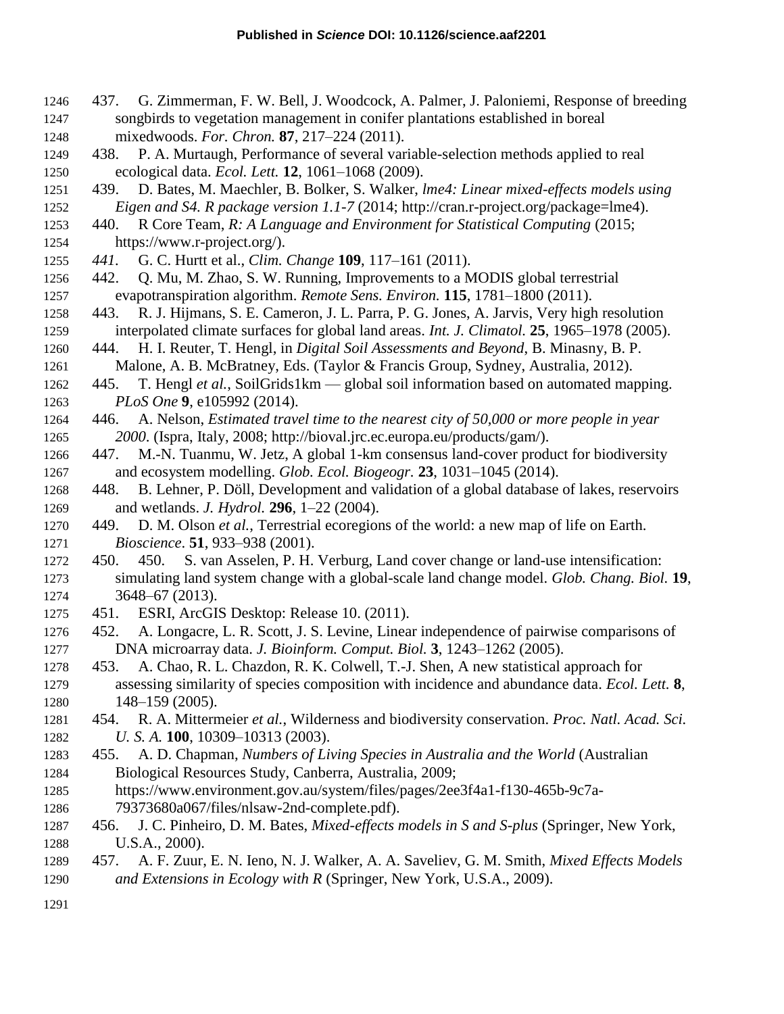- 437. G. Zimmerman, F. W. Bell, J. Woodcock, A. Palmer, J. Paloniemi, Response of breeding songbirds to vegetation management in conifer plantations established in boreal mixedwoods. *For. Chron.* **87**, 217–224 (2011).
- 438. P. A. Murtaugh, Performance of several variable-selection methods applied to real ecological data. *Ecol. Lett.* **12**, 1061–1068 (2009).
- 439. D. Bates, M. Maechler, B. Bolker, S. Walker, *lme4: Linear mixed-effects models using Eigen and S4. R package version 1.1-7* (2014; http://cran.r-project.org/package=lme4).
- 440. R Core Team, *R: A Language and Environment for Statistical Computing* (2015; https://www.r-project.org/).
- *441.* G. C. Hurtt et al., *Clim. Change* **109**, 117–161 (2011).
- 442. Q. Mu, M. Zhao, S. W. Running, Improvements to a MODIS global terrestrial evapotranspiration algorithm. *Remote Sens. Environ.* **115**, 1781–1800 (2011).
- 443. R. J. Hijmans, S. E. Cameron, J. L. Parra, P. G. Jones, A. Jarvis, Very high resolution interpolated climate surfaces for global land areas. *Int. J. Climatol.* **25**, 1965–1978 (2005).
- 444. H. I. Reuter, T. Hengl, in *Digital Soil Assessments and Beyond*, B. Minasny, B. P. Malone, A. B. McBratney, Eds. (Taylor & Francis Group, Sydney, Australia, 2012).
- 445. T. Hengl *et al.*, SoilGrids1km global soil information based on automated mapping. *PLoS One* **9**, e105992 (2014).
- 446. A. Nelson, *Estimated travel time to the nearest city of 50,000 or more people in year 2000*. (Ispra, Italy, 2008; http://bioval.jrc.ec.europa.eu/products/gam/).
- 447. M.-N. Tuanmu, W. Jetz, A global 1-km consensus land-cover product for biodiversity and ecosystem modelling. *Glob. Ecol. Biogeogr.* **23**, 1031–1045 (2014).
- 448. B. Lehner, P. Döll, Development and validation of a global database of lakes, reservoirs and wetlands. *J. Hydrol.* **296**, 1–22 (2004).
- 449. D. M. Olson *et al.*, Terrestrial ecoregions of the world: a new map of life on Earth. *Bioscience*. **51**, 933–938 (2001).
- 450. 450. S. van Asselen, P. H. Verburg, Land cover change or land-use intensification: simulating land system change with a global-scale land change model. *Glob. Chang. Biol.* **19**, 3648–67 (2013).
- 451. ESRI, ArcGIS Desktop: Release 10. (2011).
- 452. A. Longacre, L. R. Scott, J. S. Levine, Linear independence of pairwise comparisons of DNA microarray data. *J. Bioinform. Comput. Biol.* **3**, 1243–1262 (2005).
- 453. A. Chao, R. L. Chazdon, R. K. Colwell, T.-J. Shen, A new statistical approach for assessing similarity of species composition with incidence and abundance data. *Ecol. Lett.* **8**, 148–159 (2005).
- 454. R. A. Mittermeier *et al.*, Wilderness and biodiversity conservation. *Proc. Natl. Acad. Sci. U. S. A.* **100**, 10309–10313 (2003).
- 455. A. D. Chapman, *Numbers of Living Species in Australia and the World* (Australian Biological Resources Study, Canberra, Australia, 2009;
- https://www.environment.gov.au/system/files/pages/2ee3f4a1-f130-465b-9c7a-79373680a067/files/nlsaw-2nd-complete.pdf).
- 456. J. C. Pinheiro, D. M. Bates, *Mixed-effects models in S and S-plus* (Springer, New York, U.S.A., 2000).
- 457. A. F. Zuur, E. N. Ieno, N. J. Walker, A. A. Saveliev, G. M. Smith, *Mixed Effects Models and Extensions in Ecology with R* (Springer, New York, U.S.A., 2009).
-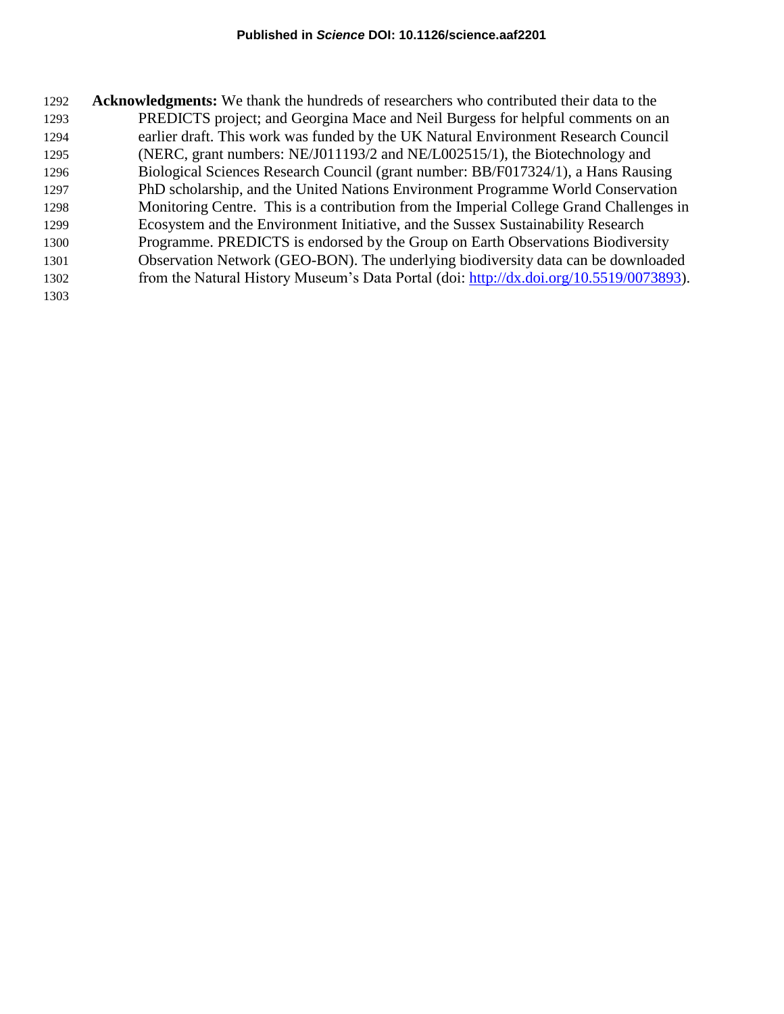| 1292 | <b>Acknowledgments:</b> We thank the hundreds of researchers who contributed their data to the |
|------|------------------------------------------------------------------------------------------------|
| 1293 | PREDICTS project; and Georgina Mace and Neil Burgess for helpful comments on an                |
| 1294 | earlier draft. This work was funded by the UK Natural Environment Research Council             |
| 1295 | (NERC, grant numbers: NE/J011193/2 and NE/L002515/1), the Biotechnology and                    |
| 1296 | Biological Sciences Research Council (grant number: BB/F017324/1), a Hans Rausing              |
| 1297 | PhD scholarship, and the United Nations Environment Programme World Conservation               |
| 1298 | Monitoring Centre. This is a contribution from the Imperial College Grand Challenges in        |
| 1299 | Ecosystem and the Environment Initiative, and the Sussex Sustainability Research               |
| 1300 | Programme. PREDICTS is endorsed by the Group on Earth Observations Biodiversity                |
| 1301 | Observation Network (GEO-BON). The underlying biodiversity data can be downloaded              |
| 1302 | from the Natural History Museum's Data Portal (doi: http://dx.doi.org/10.5519/0073893).        |
| 1303 |                                                                                                |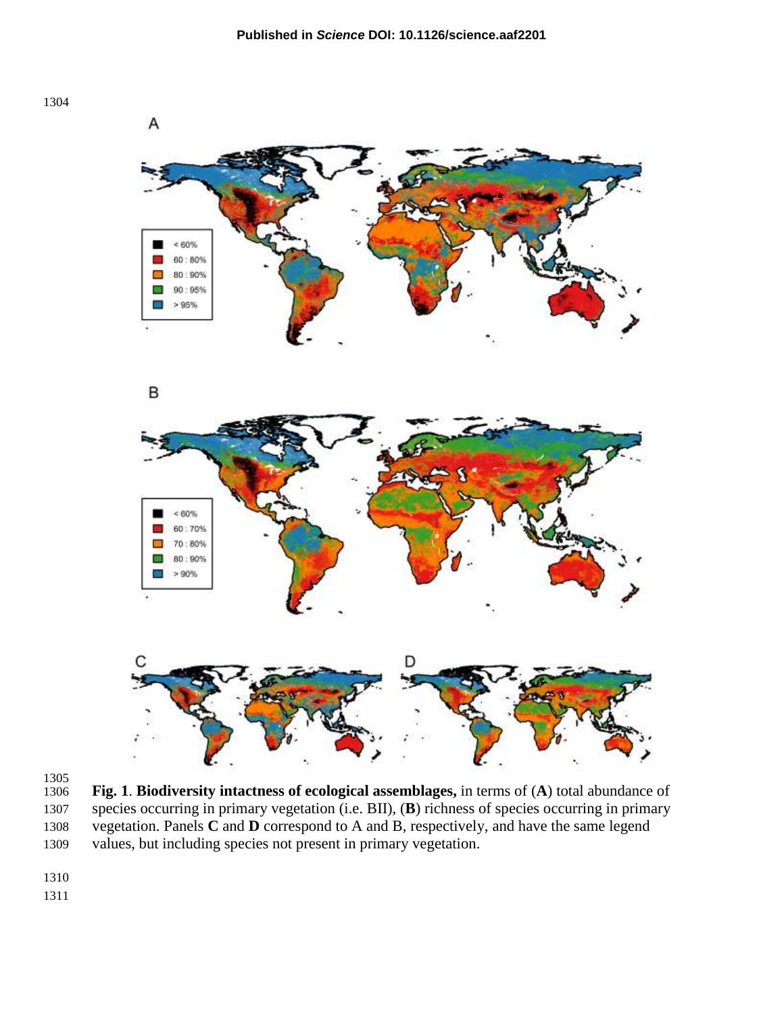



 **Fig. 1**. **Biodiversity intactness of ecological assemblages,** in terms of (**A**) total abundance of species occurring in primary vegetation (i.e. BII), (**B**) richness of species occurring in primary vegetation. Panels **C** and **D** correspond to A and B, respectively, and have the same legend values, but including species not present in primary vegetation.

- 
-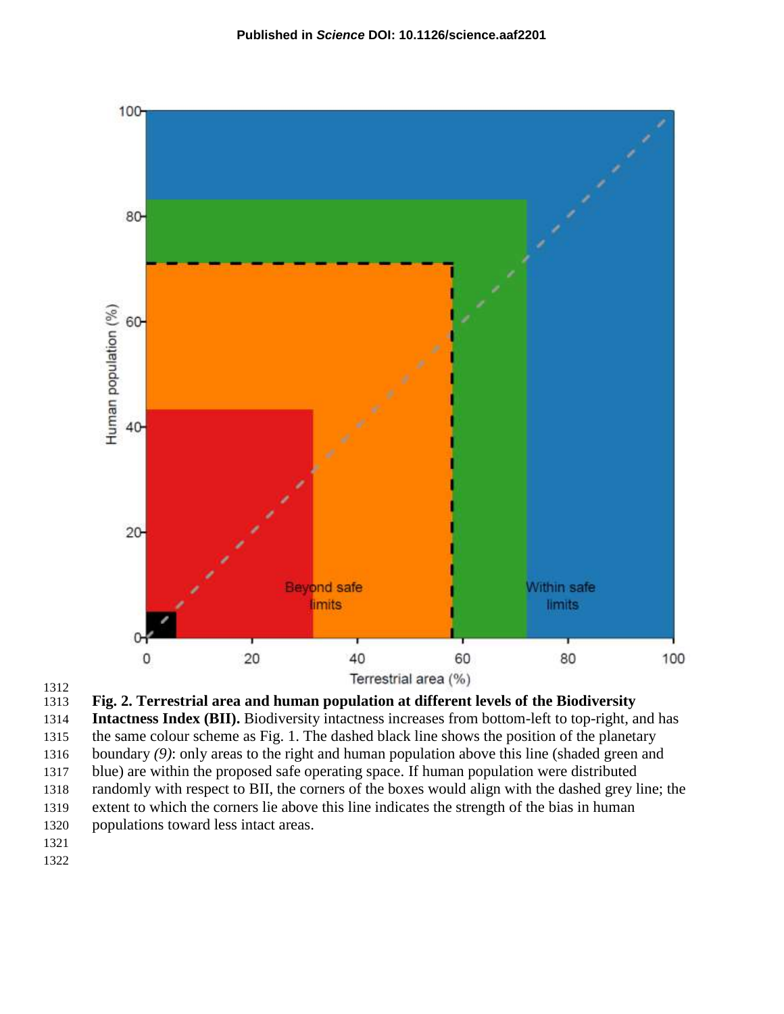

1312<br>1313



 **Intactness Index (BII).** Biodiversity intactness increases from bottom-left to top-right, and has the same colour scheme as Fig. 1. The dashed black line shows the position of the planetary

boundary *(9)*: only areas to the right and human population above this line (shaded green and

 blue) are within the proposed safe operating space. If human population were distributed randomly with respect to BII, the corners of the boxes would align with the dashed grey line; the

extent to which the corners lie above this line indicates the strength of the bias in human

- populations toward less intact areas.
- 
-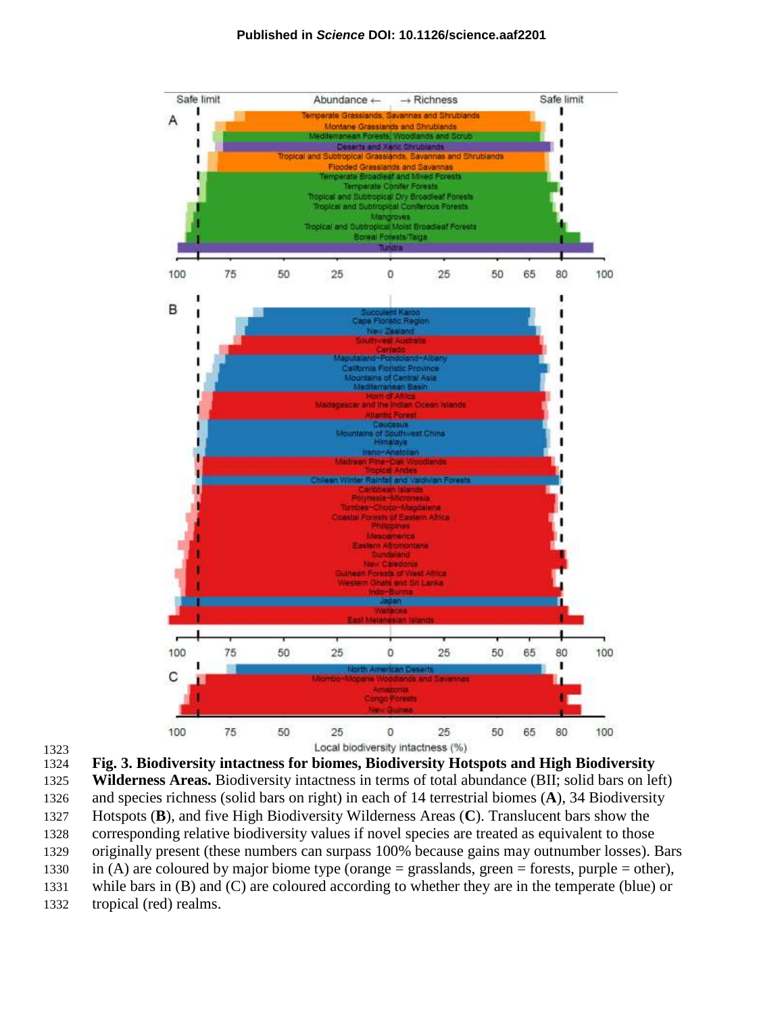#### **Published in** *Science* **DOI: 10.1126/science.aaf2201**